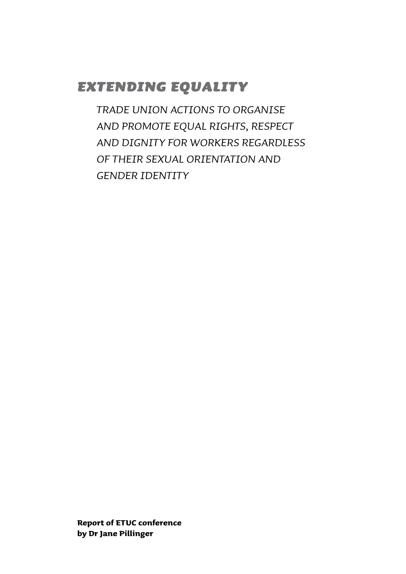## *EXTENDING EQUALITY*

*trade union actions to organise and promote equal rights, respect and dignity for workers regardless of their sexual orientation and gender identity*

**Report of ETUC conference by Dr Jane Pillinger**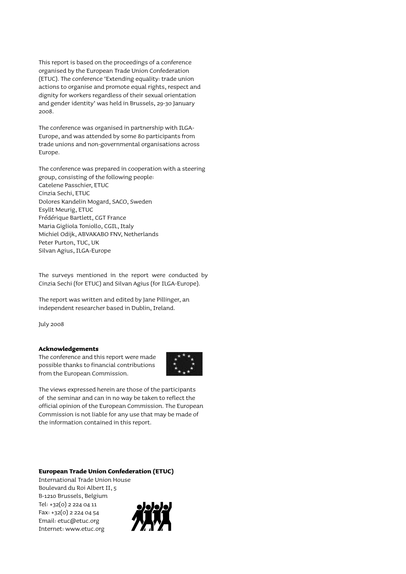This report is based on the proceedings of a conference organised by the European Trade Union Confederation (ETUC). The conference 'Extending equality: trade union actions to organise and promote equal rights, respect and dignity for workers regardless of their sexual orientation and gender identity' was held in Brussels, 29-30 January 2008.

The conference was organised in partnership with ILGA-Europe, and was attended by some 80 participants from trade unions and non-governmental organisations across Europe.

The conference was prepared in cooperation with a steering group, consisting of the following people: Catelene Passchier, ETUC Cinzia Sechi, ETUC Dolores Kandelin Mogard, SACO, Sweden Esyllt Meurig, ETUC Frédérique Bartlett, CGT France Maria Gigliola Toniollo, CGIL, Italy Michiel Odijk, ABVAKABO FNV, Netherlands Peter Purton, TUC, UK Silvan Agius, ILGA-Europe

The surveys mentioned in the report were conducted by Cinzia Sechi (for ETUC) and Silvan Agius (for ILGA-Europe).

The report was written and edited by Jane Pillinger, an independent researcher based in Dublin, Ireland.

July 2008

#### **Acknowledgements**

The conference and this report were made possible thanks to financial contributions from the European Commission.



The views expressed herein are those of the participants of the seminar and can in no way be taken to reflect the official opinion of the European Commission. The European Commission is not liable for any use that may be made of the information contained in this report.

#### **European Trade Union Confederation (ETUC)**

International Trade Union House Boulevard du Roi Albert II, 5 B-1210 Brussels, Belgium Tel: +32(0) 2 224 04 11 Fax: +32(0) 2 224 04 54 Email: etuc@etuc.org Internet: www.etuc.org

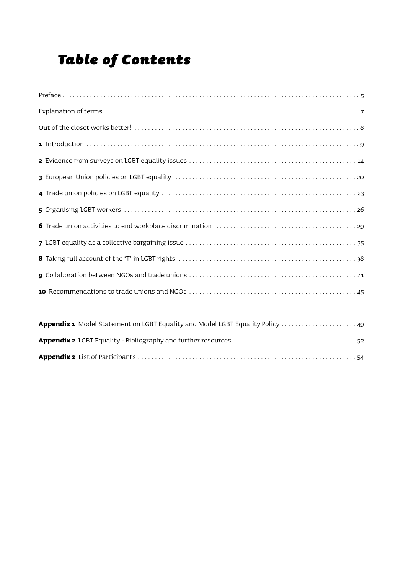## *Table of Contents*

| <b>Appendix 1</b> Model Statement on LGBT Equality and Model LGBT Equality Policy  49 |  |
|---------------------------------------------------------------------------------------|--|
|                                                                                       |  |
|                                                                                       |  |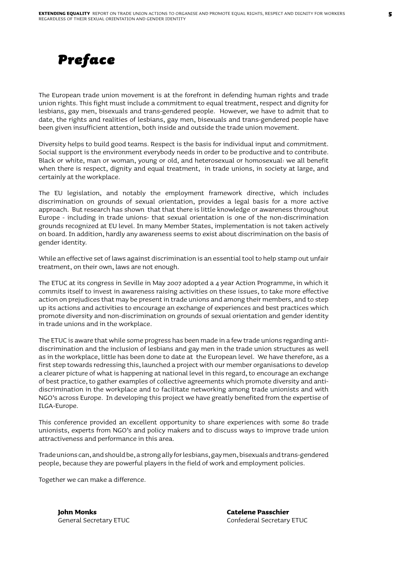

The European trade union movement is at the forefront in defending human rights and trade union rights. This fight must include a commitment to equal treatment, respect and dignity for lesbians, gay men, bisexuals and trans-gendered people. However, we have to admit that to date, the rights and realities of lesbians, gay men, bisexuals and trans-gendered people have been given insufficient attention, both inside and outside the trade union movement.

Diversity helps to build good teams. Respect is the basis for individual input and commitment. Social support is the environment everybody needs in order to be productive and to contribute. Black or white, man or woman, young or old, and heterosexual or homosexual: we all benefit when there is respect, dignity and equal treatment, in trade unions, in society at large, and certainly at the workplace.

The EU legislation, and notably the employment framework directive, which includes discrimination on grounds of sexual orientation, provides a legal basis for a more active approach. But research has shown that that there is little knowledge or awareness throughout Europe - including in trade unions- that sexual orientation is one of the non-discrimination grounds recognized at EU level. In many Member States, implementation is not taken actively on board. In addition, hardly any awareness seems to exist about discrimination on the basis of gender identity.

While an effective set of laws against discrimination is an essential tool to help stamp out unfair treatment, on their own, laws are not enough.

The ETUC at its congress in Seville in May 2007 adopted a 4 year Action Programme, in which it commits itself to invest in awareness raising activities on these issues, to take more effective action on prejudices that may be present in trade unions and among their members, and to step up its actions and activities to encourage an exchange of experiences and best practices which promote diversity and non-discrimination on grounds of sexual orientation and gender identity in trade unions and in the workplace.

The ETUC is aware that while some progress has been made in a few trade unions regarding antidiscrimination and the inclusion of lesbians and gay men in the trade union structures as well as in the workplace, little has been done to date at the European level. We have therefore, as a first step towards redressing this, launched a project with our member organisations to develop a clearer picture of what is happening at national level in this regard, to encourage an exchange of best practice, to gather examples of collective agreements which promote diversity and antidiscrimination in the workplace and to facilitate networking among trade unionists and with NGO's across Europe. In developing this project we have greatly benefited from the expertise of ILGA-Europe.

This conference provided an excellent opportunity to share experiences with some 80 trade unionists, experts from NGO's and policy makers and to discuss ways to improve trade union attractiveness and performance in this area.

Trade unions can, and should be, a strong ally for lesbians, gay men, bisexuals and trans-gendered people, because they are powerful players in the field of work and employment policies.

Together we can make a difference.

**John Monks Catelene Passchier**

General Secretary ETUC Confederal Secretary ETUC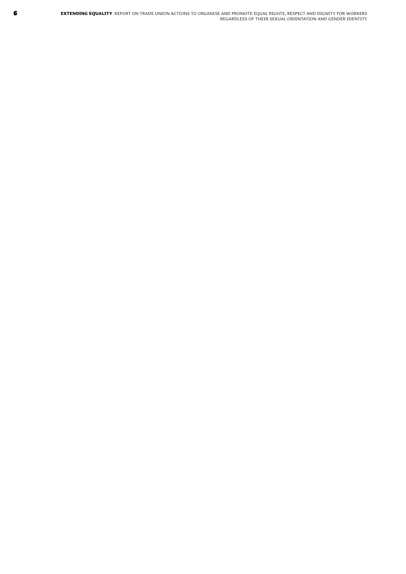**6 6 EXTENDING EQUALITY** REPORT ON TRADE UNION ACTIONS TO ORGANISE AND PROMOTE EQUAL RIGHTS, RESPECT AND DIGNITY FOR WORKERS<br>REGARDLESS OF THEIR SEXUAL ORIENTATION AND GENDER IDENTITY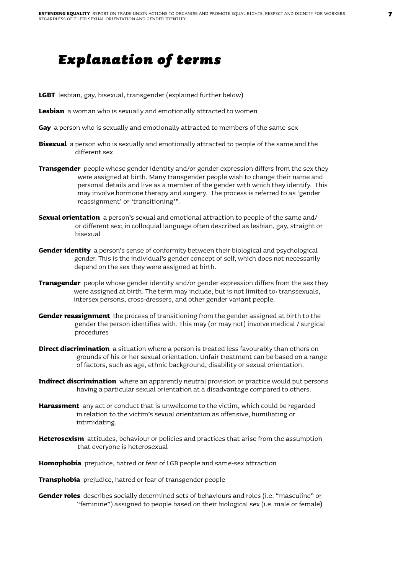## *Explanation of terms*

- **LGBT** lesbian, gay, bisexual, transgender (explained further below)
- **Lesbian** a woman who is sexually and emotionally attracted to women
- **Gay** a person who is sexually and emotionally attracted to members of the same-sex
- **Bisexual** a person who is sexually and emotionally attracted to people of the same and the different sex
- **Transgender** people whose gender identity and/or gender expression differs from the sex they were assigned at birth. Many transgender people wish to change their name and personal details and live as a member of the gender with which they identify. This may involve hormone therapy and surgery. The process is referred to as 'gender reassignment' or 'transitioning'".
- **Sexual orientation** a person's sexual and emotional attraction to people of the same and/ or different sex; in colloquial language often described as lesbian, gay, straight or bisexual
- **Gender identity** a person's sense of conformity between their biological and psychological gender. This is the individual's gender concept of self, which does not necessarily depend on the sex they were assigned at birth.
- **Transgender** people whose gender identity and/or gender expression differs from the sex they were assigned at birth. The term may include, but is not limited to: transsexuals, intersex persons, cross-dressers, and other gender variant people.
- **Gender reassignment** the process of transitioning from the gender assigned at birth to the gender the person identifies with. This may (or may not) involve medical / surgical procedures
- **Direct discrimination** a situation where a person is treated less favourably than others on grounds of his or her sexual orientation. Unfair treatment can be based on a range of factors, such as age, ethnic background, disability or sexual orientation.
- **Indirect discrimination** where an apparently neutral provision or practice would put persons having a particular sexual orientation at a disadvantage compared to others.
- **Harassment** any act or conduct that is unwelcome to the victim, which could be regarded in relation to the victim's sexual orientation as offensive, humiliating or intimidating.
- **Heterosexism** attitudes, behaviour or policies and practices that arise from the assumption that everyone is heterosexual
- **Homophobia** prejudice, hatred or fear of LGB people and same-sex attraction
- **Transphobia** prejudice, hatred or fear of transgender people
- **Gender roles** describes socially determined sets of behaviours and roles (i.e. "masculine" or "feminine") assigned to people based on their biological sex (i.e. male or female)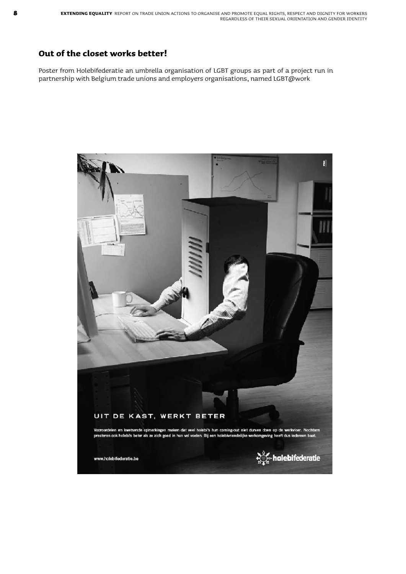#### **Out of the closet works better!**

Poster from Holebifederatie an umbrella organisation of LGBT groups as part of a project run in partnership with Belgium trade unions and employers organisations, named LGBT@work

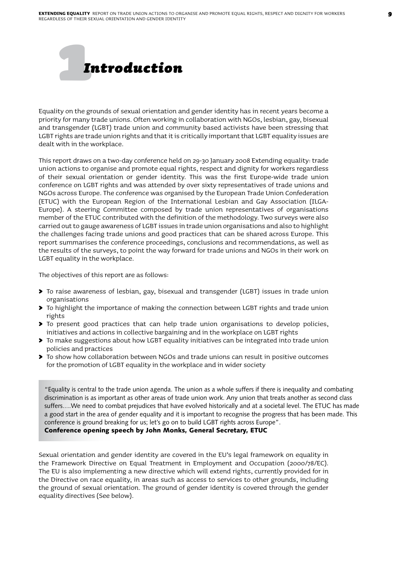

Equality on the grounds of sexual orientation and gender identity has in recent years become a priority for many trade unions. Often working in collaboration with NGOs, lesbian, gay, bisexual and transgender (LGBT) trade union and community based activists have been stressing that LGBT rights are trade union rights and that it is critically important that LGBT equality issues are dealt with in the workplace.

This report draws on a two-day conference held on 29-30 January 2008 Extending equality: trade union actions to organise and promote equal rights, respect and dignity for workers regardless of their sexual orientation or gender identity. This was the first Europe-wide trade union conference on LGBT rights and was attended by over sixty representatives of trade unions and NGOs across Europe. The conference was organised by the European Trade Union Confederation (ETUC) with the European Region of the International Lesbian and Gay Association (ILGA-Europe). A steering Committee composed by trade union representatives of organisations member of the ETUC contributed with the definition of the methodology. Two surveys were also carried out to gauge awareness of LGBT issues in trade union organisations and also to highlight the challenges facing trade unions and good practices that can be shared across Europe. This report summarises the conference proceedings, conclusions and recommendations, as well as the results of the surveys, to point the way forward for trade unions and NGOs in their work on LGBT equality in the workplace.

The objectives of this report are as follows:

- > To raise awareness of lesbian, gay, bisexual and transgender (LGBT) issues in trade union organisations
- > To highlight the importance of making the connection between LGBT rights and trade union rights
- > To present good practices that can help trade union organisations to develop policies, initiatives and actions in collective bargaining and in the workplace on LGBT rights
- > To make suggestions about how LGBT equality initiatives can be integrated into trade union policies and practices
- > To show how collaboration between NGOs and trade unions can result in positive outcomes for the promotion of LGBT equality in the workplace and in wider society

"Equality is central to the trade union agenda. The union as a whole suffers if there is inequality and combating discrimination is as important as other areas of trade union work. Any union that treats another as second class suffers….We need to combat prejudices that have evolved historically and at a societal level. The ETUC has made a good start in the area of gender equality and it is important to recognise the progress that has been made. This conference is ground breaking for us; let's go on to build LGBT rights across Europe". Conference opening speech by John Monks, General Secretary, ETUC

Sexual orientation and gender identity are covered in the EU's legal framework on equality in the Framework Directive on Equal Treatment in Employment and Occupation (2000/78/EC). The EU is also implementing a new directive which will extend rights, currently provided for in the Directive on race equality, in areas such as access to services to other grounds, including the ground of sexual orientation. The ground of gender identity is covered through the gender equality directives (See below).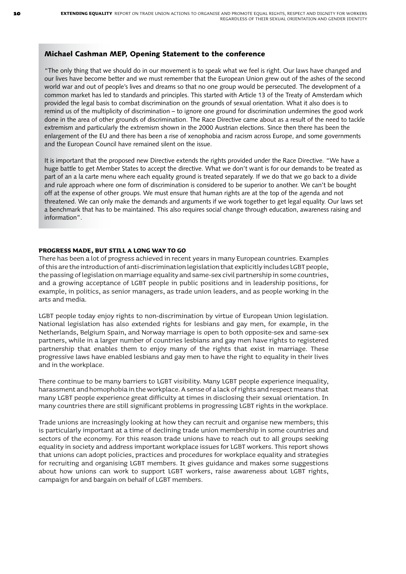#### Michael Cashman MEP, Opening Statement to the conference

"The only thing that we should do in our movement is to speak what we feel is right. Our laws have changed and our lives have become better and we must remember that the European Union grew out of the ashes of the second world war and out of people's lives and dreams so that no one group would be persecuted. The development of a common market has led to standards and principles. This started with Article 13 of the Treaty of Amsterdam which provided the legal basis to combat discrimination on the grounds of sexual orientation. What it also does is to remind us of the multiplicity of discrimination – to ignore one ground for discrimination undermines the good work done in the area of other grounds of discrimination. The Race Directive came about as a result of the need to tackle extremism and particularly the extremism shown in the 2000 Austrian elections. Since then there has been the enlargement of the EU and there has been a rise of xenophobia and racism across Europe, and some governments and the European Council have remained silent on the issue.

It is important that the proposed new Directive extends the rights provided under the Race Directive. "We have a huge battle to get Member States to accept the directive. What we don't want is for our demands to be treated as part of an a la carte menu where each equality ground is treated separately. If we do that we go back to a divide and rule approach where one form of discrimination is considered to be superior to another. We can't be bought off at the expense of other groups. We must ensure that human rights are at the top of the agenda and not threatened. We can only make the demands and arguments if we work together to get legal equality. Our laws set a benchmark that has to be maintained. This also requires social change through education, awareness raising and information".

#### **Progress made, but still a long way to go**

There has been a lot of progress achieved in recent years in many European countries. Examples of this are the introduction of anti-discrimination legislation that explicitly includes LGBT people, the passing of legislation on marriage equality and same-sex civil partnership in some countries, and a growing acceptance of LGBT people in public positions and in leadership positions, for example, in politics, as senior managers, as trade union leaders, and as people working in the arts and media.

LGBT people today enjoy rights to non-discrimination by virtue of European Union legislation. National legislation has also extended rights for lesbians and gay men, for example, in the Netherlands, Belgium Spain, and Norway marriage is open to both opposite-sex and same-sex partners, while in a larger number of countries lesbians and gay men have rights to registered partnership that enables them to enjoy many of the rights that exist in marriage. These progressive laws have enabled lesbians and gay men to have the right to equality in their lives and in the workplace.

There continue to be many barriers to LGBT visibility. Many LGBT people experience inequality, harassment and homophobia in the workplace. A sense of a lack of rights and respect means that many LGBT people experience great difficulty at times in disclosing their sexual orientation. In many countries there are still significant problems in progressing LGBT rights in the workplace.

Trade unions are increasingly looking at how they can recruit and organise new members; this is particularly important at a time of declining trade union membership in some countries and sectors of the economy. For this reason trade unions have to reach out to all groups seeking equality in society and address important workplace issues for LGBT workers. This report shows that unions can adopt policies, practices and procedures for workplace equality and strategies for recruiting and organising LGBT members. It gives guidance and makes some suggestions about how unions can work to support LGBT workers, raise awareness about LGBT rights, campaign for and bargain on behalf of LGBT members.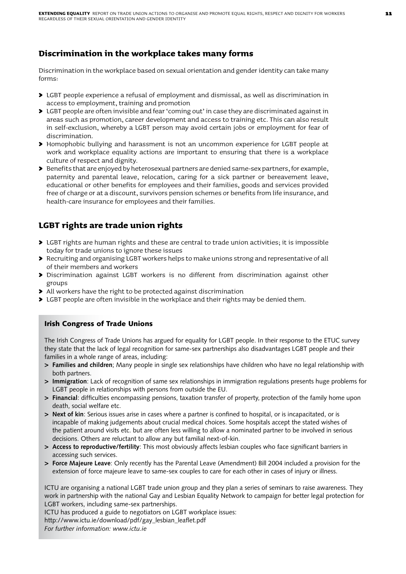#### **Discrimination in the workplace takes many forms**

Discrimination in the workplace based on sexual orientation and gender identity can take many forms:

- > LGBT people experience a refusal of employment and dismissal, as well as discrimination in access to employment, training and promotion
- > LGBT people are often invisible and fear 'coming out' in case they are discriminated against in areas such as promotion, career development and access to training etc. This can also result in self-exclusion, whereby a LGBT person may avoid certain jobs or employment for fear of discrimination.
- > Homophobic bullying and harassment is not an uncommon experience for LGBT people at work and workplace equality actions are important to ensuring that there is a workplace culture of respect and dignity.
- > Benefits that are enjoyed by heterosexual partners are denied same-sex partners, for example, paternity and parental leave, relocation, caring for a sick partner or bereavement leave, educational or other benefits for employees and their families, goods and services provided free of charge or at a discount, survivors pension schemes or benefits from life insurance, and health-care insurance for employees and their families.

#### **LGBT rights are trade union rights**

- > LGBT rights are human rights and these are central to trade union activities; it is impossible today for trade unions to ignore these issues
- > Recruiting and organising LGBT workers helps to make unions strong and representative of all of their members and workers
- > Discrimination against LGBT workers is no different from discrimination against other groups
- > All workers have the right to be protected against discrimination
- > LGBT people are often invisible in the workplace and their rights may be denied them.

#### Irish Congress of Trade Unions

The Irish Congress of Trade Unions has argued for equality for LGBT people. In their response to the ETUC survey they state that the lack of legal recognition for same-sex partnerships also disadvantages LGBT people and their families in a whole range of areas, including:

- **> Families and children**; Many people in single sex relationships have children who have no legal relationship with both partners.
- **> Immigration**: Lack of recognition of same sex relationships in immigration regulations presents huge problems for LGBT people in relationships with persons from outside the EU.
- **> Financial**: difficulties encompassing pensions, taxation transfer of property, protection of the family home upon death, social welfare etc.
- **> Next of kin**: Serious issues arise in cases where a partner is confined to hospital, or is incapacitated, or is incapable of making judgements about crucial medical choices. Some hospitals accept the stated wishes of the patient around visits etc. but are often less willing to allow a nominated partner to be involved in serious decisions. Others are reluctant to allow any but familial next-of-kin.
- **> Access to reproductive/fertility**: This most obviously affects lesbian couples who face significant barriers in accessing such services.
- **> Force Majeure Leave**: Only recently has the Parental Leave (Amendment) Bill 2004 included a provision for the extension of force majeure leave to same-sex couples to care for each other in cases of injury or illness.

ICTU are organising a national LGBT trade union group and they plan a series of seminars to raise awareness. They work in partnership with the national Gay and Lesbian Equality Network to campaign for better legal protection for LGBT workers, including same-sex partnerships.

ICTU has produced a guide to negotiators on LGBT workplace issues: http://www.ictu.ie/download/pdf/gay\_lesbian\_leaflet.pdf *For further information: www.ictu.ie*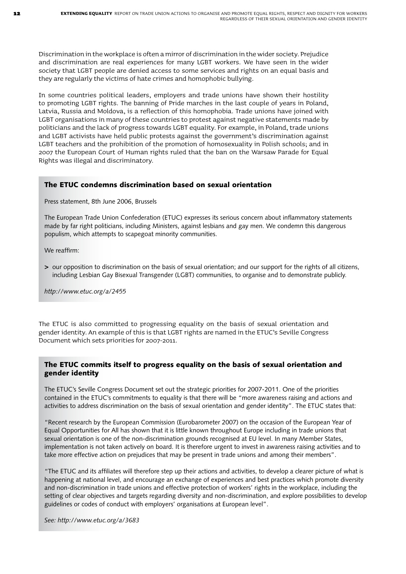Discrimination in the workplace is often a mirror of discrimination in the wider society. Prejudice and discrimination are real experiences for many LGBT workers. We have seen in the wider society that LGBT people are denied access to some services and rights on an equal basis and they are regularly the victims of hate crimes and homophobic bullying.

In some countries political leaders, employers and trade unions have shown their hostility to promoting LGBT rights. The banning of Pride marches in the last couple of years in Poland, Latvia, Russia and Moldova, is a reflection of this homophobia. Trade unions have joined with LGBT organisations in many of these countries to protest against negative statements made by politicians and the lack of progress towards LGBT equality. For example, in Poland, trade unions and LGBT activists have held public protests against the government's discrimination against LGBT teachers and the prohibition of the promotion of homosexuality in Polish schools; and in 2007 the European Court of Human rights ruled that the ban on the Warsaw Parade for Equal Rights was illegal and discriminatory.

#### The ETUC condemns discrimination based on sexual orientation

Press statement, 8th June 2006, Brussels

The European Trade Union Confederation (ETUC) expresses its serious concern about inflammatory statements made by far right politicians, including Ministers, against lesbians and gay men. We condemn this dangerous populism, which attempts to scapegoat minority communities.

We reaffirm:

**>** our opposition to discrimination on the basis of sexual orientation; and our support for the rights of all citizens, including Lesbian Gay Bisexual Transgender (LGBT) communities, to organise and to demonstrate publicly.

*http://www.etuc.org/a/2455*

The ETUC is also committed to progressing equality on the basis of sexual orientation and gender identity. An example of this is that LGBT rights are named in the ETUC's Seville Congress Document which sets priorities for 2007-2011.

#### The ETUC commits itself to progress equality on the basis of sexual orientation and gender identity

The ETUC's Seville Congress Document set out the strategic priorities for 2007-2011. One of the priorities contained in the ETUC's commitments to equality is that there will be "more awareness raising and actions and activities to address discrimination on the basis of sexual orientation and gender identity". The ETUC states that:

"Recent research by the European Commission (Eurobarometer 2007) on the occasion of the European Year of Equal Opportunities for All has shown that it is little known throughout Europe including in trade unions that sexual orientation is one of the non-discrimination grounds recognised at EU level. In many Member States, implementation is not taken actively on board. It is therefore urgent to invest in awareness raising activities and to take more effective action on prejudices that may be present in trade unions and among their members".

"The ETUC and its affiliates will therefore step up their actions and activities, to develop a clearer picture of what is happening at national level, and encourage an exchange of experiences and best practices which promote diversity and non-discrimination in trade unions and effective protection of workers' rights in the workplace, including the setting of clear objectives and targets regarding diversity and non-discrimination, and explore possibilities to develop guidelines or codes of conduct with employers' organisations at European level".

*See: http://www.etuc.org/a/3683*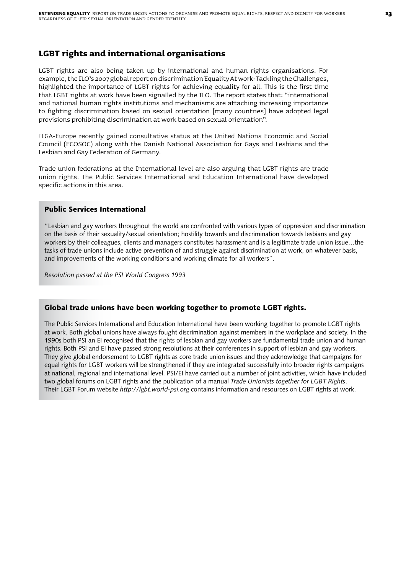#### **LGBT rights and international organisations**

LGBT rights are also being taken up by international and human rights organisations. For example, the ILO's 2007 global report on discrimination Equality At work: Tackling the Challenges, highlighted the importance of LGBT rights for achieving equality for all. This is the first time that LGBT rights at work have been signalled by the ILO. The report states that: "international and national human rights institutions and mechanisms are attaching increasing importance to fighting discrimination based on sexual orientation [many countries] have adopted legal provisions prohibiting discrimination at work based on sexual orientation".

ILGA-Europe recently gained consultative status at the United Nations Economic and Social Council (ECOSOC) along with the Danish National Association for Gays and Lesbians and the Lesbian and Gay Federation of Germany.

Trade union federations at the International level are also arguing that LGBT rights are trade union rights. The Public Services International and Education International have developed specific actions in this area.

#### Public Services International

"Lesbian and gay workers throughout the world are confronted with various types of oppression and discrimination on the basis of their sexuality/sexual orientation; hostility towards and discrimination towards lesbians and gay workers by their colleagues, clients and managers constitutes harassment and is a legitimate trade union issue…the tasks of trade unions include active prevention of and struggle against discrimination at work, on whatever basis, and improvements of the working conditions and working climate for all workers".

*Resolution passed at the PSI World Congress 1993*

#### Global trade unions have been working together to promote LGBT rights.

The Public Services International and Education International have been working together to promote LGBT rights at work. Both global unions have always fought discrimination against members in the workplace and society. In the 1990s both PSI an EI recognised that the rights of lesbian and gay workers are fundamental trade union and human rights. Both PSI and EI have passed strong resolutions at their conferences in support of lesbian and gay workers. They give global endorsement to LGBT rights as core trade union issues and they acknowledge that campaigns for equal rights for LGBT workers will be strengthened if they are integrated successfully into broader rights campaigns at national, regional and international level. PSI/EI have carried out a number of joint activities, which have included two global forums on LGBT rights and the publication of a manual *Trade Unionists together for LGBT Rights*. Their LGBT Forum website *http://lgbt.world-psi.org* contains information and resources on LGBT rights at work.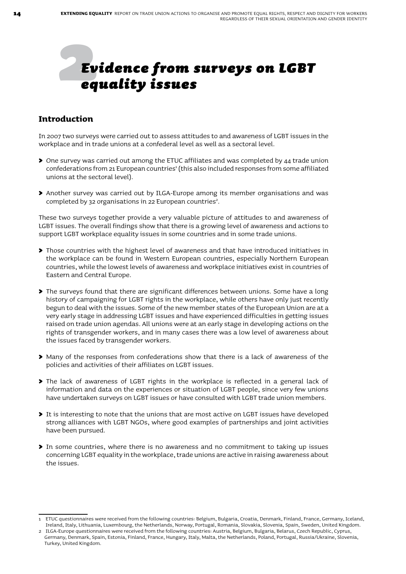## 2*Evidence from surveys on LGBT equality issues*

#### **Introduction**

In 2007 two surveys were carried out to assess attitudes to and awareness of LGBT issues in the workplace and in trade unions at a confederal level as well as a sectoral level.

- > One survey was carried out among the ETUC affiliates and was completed by 44 trade union confederations from 21 European countries<sup>1</sup> (this also included responses from some affiliated unions at the sectoral level).
- > Another survey was carried out by ILGA-Europe among its member organisations and was  $completed$  by 32 organisations in 22 European countries<sup>2</sup>.

These two surveys together provide a very valuable picture of attitudes to and awareness of LGBT issues. The overall findings show that there is a growing level of awareness and actions to support LGBT workplace equality issues in some countries and in some trade unions.

- > Those countries with the highest level of awareness and that have introduced initiatives in the workplace can be found in Western European countries, especially Northern European countries, while the lowest levels of awareness and workplace initiatives exist in countries of Eastern and Central Europe.
- > The surveys found that there are significant differences between unions. Some have a long history of campaigning for LGBT rights in the workplace, while others have only just recently begun to deal with the issues. Some of the new member states of the European Union are at a very early stage in addressing LGBT issues and have experienced difficulties in getting issues raised on trade union agendas. All unions were at an early stage in developing actions on the rights of transgender workers, and in many cases there was a low level of awareness about the issues faced by transgender workers.
- > Many of the responses from confederations show that there is a lack of awareness of the policies and activities of their affiliates on LGBT issues.
- > The lack of awareness of LGBT rights in the workplace is reflected in a general lack of information and data on the experiences or situation of LGBT people, since very few unions have undertaken surveys on LGBT issues or have consulted with LGBT trade union members.
- > It is interesting to note that the unions that are most active on LGBT issues have developed strong alliances with LGBT NGOs, where good examples of partnerships and joint activities have been pursued.
- > In some countries, where there is no awareness and no commitment to taking up issues concerning LGBT equality in the workplace, trade unions are active in raising awareness about the issues.

<sup>1</sup> ETUC questionnaires were received from the following countries: Belgium, Bulgaria, Croatia, Denmark, Finland, France, Germany, Iceland, Ireland, Italy, Lithuania, Luxembourg, the Netherlands, Norway, Portugal, Romania, Slovakia, Slovenia, Spain, Sweden, United Kingdom.<br>2 ILGA-Europe questionnaires were received from the following countries: Austria, Belgiu

Germany, Denmark, Spain, Estonia, Finland, France, Hungary, Italy, Malta, the Netherlands, Poland, Portugal, Russia/Ukraine, Slovenia, Turkey, United Kingdom.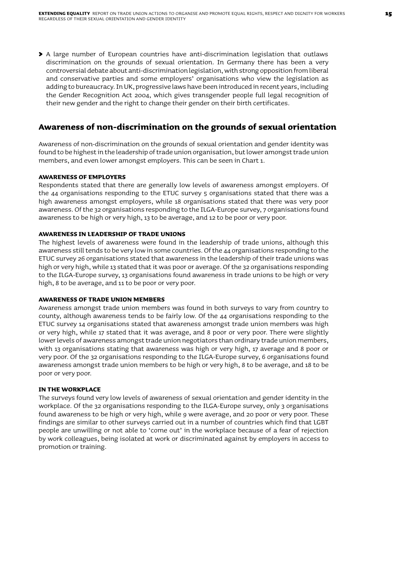> A large number of European countries have anti-discrimination legislation that outlaws discrimination on the grounds of sexual orientation. In Germany there has been a very controversial debate about anti-discrimination legislation, with strong opposition from liberal and conservative parties and some employers' organisations who view the legislation as adding to bureaucracy. In UK, progressive laws have been introduced in recent years, including the Gender Recognition Act 2004, which gives transgender people full legal recognition of their new gender and the right to change their gender on their birth certificates.

#### **Awareness of non-discrimination on the grounds of sexual orientation**

Awareness of non-discrimination on the grounds of sexual orientation and gender identity was found to be highest in the leadership of trade union organisation, but lower amongst trade union members, and even lower amongst employers. This can be seen in Chart 1.

#### **Awareness of employers**

Respondents stated that there are generally low levels of awareness amongst employers. Of the 44 organisations responding to the ETUC survey 5 organisations stated that there was a high awareness amongst employers, while 18 organisations stated that there was very poor awareness. Of the 32 organisations responding to the ILGA-Europe survey, 7 organisations found awareness to be high or very high, 13 to be average, and 12 to be poor or very poor.

#### **Awareness in leadership of trade unions**

The highest levels of awareness were found in the leadership of trade unions, although this awareness still tends to be very low in some countries. Of the 44 organisations responding to the ETUC survey 26 organisations stated that awareness in the leadership of their trade unions was high or very high, while 13 stated that it was poor or average. Of the 32 organisations responding to the ILGA-Europe survey, 13 organisations found awareness in trade unions to be high or very high, 8 to be average, and 11 to be poor or very poor.

#### **Awareness of trade union members**

Awareness amongst trade union members was found in both surveys to vary from country to county, although awareness tends to be fairly low. Of the 44 organisations responding to the ETUC survey 14 organisations stated that awareness amongst trade union members was high or very high, while 17 stated that it was average, and 8 poor or very poor. There were slightly lower levels of awareness amongst trade union negotiators than ordinary trade union members, with 13 organisations stating that awareness was high or very high, 17 average and 8 poor or very poor. Of the 32 organisations responding to the ILGA-Europe survey, 6 organisations found awareness amongst trade union members to be high or very high, 8 to be average, and 18 to be poor or very poor.

#### **In the workplace**

The surveys found very low levels of awareness of sexual orientation and gender identity in the workplace. Of the 32 organisations responding to the ILGA-Europe survey, only 3 organisations found awareness to be high or very high, while 9 were average, and 20 poor or very poor. These findings are similar to other surveys carried out in a number of countries which find that LGBT people are unwilling or not able to 'come out' in the workplace because of a fear of rejection by work colleagues, being isolated at work or discriminated against by employers in access to promotion or training.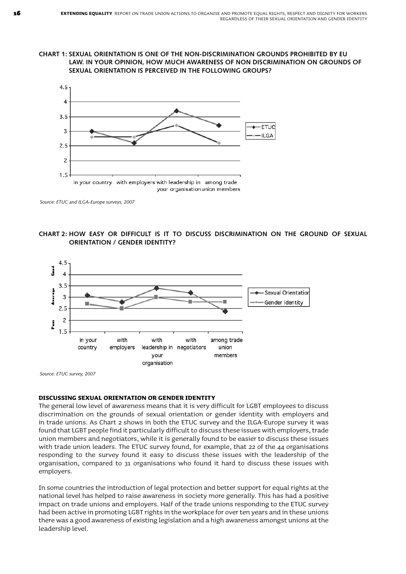#### **Chart 1: Sexual orientation is one of the non-discrimination grounds prohibited by EU law. In your opinion, how much awareness of non discrimination on grounds of sexual orientation is perceived in the following groups?**



 *Source: ETUC and ILGA-Europe surveys, 2007*

#### **Chart 2: How easy or difficult is it to discuss discrimination on the ground of sexual orientation / gender identity?**



 *Source: ETUC survey, 2007*

#### **Discussing sexual orientation or gender identity**

The general low level of awareness means that it is very difficult for LGBT employees to discuss discrimination on the grounds of sexual orientation or gender identity with employers and in trade unions. As Chart 2 shows in both the ETUC survey and the ILGA-Europe survey it was found that LGBT people find it particularly difficult to discuss these issues with employers, trade union members and negotiators, while it is generally found to be easier to discuss these issues with trade union leaders. The ETUC survey found, for example, that 22 of the 44 organisations responding to the survey found it easy to discuss these issues with the leadership of the organisation, compared to 31 organisations who found it hard to discuss these issues with employers.

In some countries the introduction of legal protection and better support for equal rights at the national level has helped to raise awareness in society more generally. This has had a positive impact on trade unions and employers. Half of the trade unions responding to the ETUC survey had been active in promoting LGBT rights in the workplace for over ten years and in these unions there was a good awareness of existing legislation and a high awareness amongst unions at the leadership level.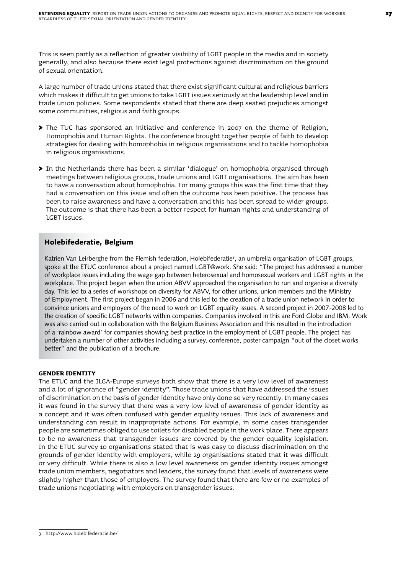This is seen partly as a reflection of greater visibility of LGBT people in the media and in society generally, and also because there exist legal protections against discrimination on the ground of sexual orientation.

A large number of trade unions stated that there exist significant cultural and religious barriers which makes it difficult to get unions to take LGBT issues seriously at the leadership level and in trade union policies. Some respondents stated that there are deep seated prejudices amongst some communities, religious and faith groups.

- > The TUC has sponsored an initiative and conference in 2007 on the theme of Religion, Homophobia and Human Rights. The conference brought together people of faith to develop strategies for dealing with homophobia in religious organisations and to tackle homophobia in religious organisations.
- > In the Netherlands there has been a similar 'dialogue' on homophobia organised through meetings between religious groups, trade unions and LGBT organisations. The aim has been to have a conversation about homophobia. For many groups this was the first time that they had a conversation on this issue and often the outcome has been positive. The process has been to raise awareness and have a conversation and this has been spread to wider groups. The outcome is that there has been a better respect for human rights and understanding of LGBT issues.

#### Holebifederatie, Belgium

Katrien Van Leirberghe from the Flemish federation, Holebifederatie<sup>3</sup>, an umbrella organisation of LGBT groups, spoke at the ETUC conference about a project named LGBT@work. She said: "The project has addressed a number of workplace issues including the wage gap between heterosexual and homosexual workers and LGBT rights in the workplace. The project began when the union ABVV approached the organisation to run and organise a diversity day. This led to a series of workshops on diversity for ABVV, for other unions, union members and the Ministry of Employment. The first project began in 2006 and this led to the creation of a trade union network in order to convince unions and employers of the need to work on LGBT equality issues. A second project in 2007-2008 led to the creation of specific LGBT networks within companies. Companies involved in this are Ford Globe and IBM. Work was also carried out in collaboration with the Belgium Business Association and this resulted in the introduction of a 'rainbow award' for companies showing best practice in the employment of LGBT people. The project has undertaken a number of other activities including a survey, conference, poster campaign "out of the closet works better" and the publication of a brochure.

#### **Gender identity**

The ETUC and the ILGA-Europe surveys both show that there is a very low level of awareness and a lot of ignorance of "gender identity". Those trade unions that have addressed the issues of discrimination on the basis of gender identity have only done so very recently. In many cases it was found in the survey that there was a very low level of awareness of gender identity as a concept and it was often confused with gender equality issues. This lack of awareness and understanding can result in inappropriate actions. For example, in some cases transgender people are sometimes obliged to use toilets for disabled people in the work place. There appears to be no awareness that transgender issues are covered by the gender equality legislation. In the ETUC survey 10 organisations stated that is was easy to discuss discrimination on the grounds of gender identity with employers, while 29 organisations stated that it was difficult or very difficult. While there is also a low level awareness on gender identity issues amongst trade union members, negotiators and leaders, the survey found that levels of awareness were slightly higher than those of employers. The survey found that there are few or no examples of trade unions negotiating with employers on transgender issues.

<sup>3</sup> http://www.holebifederatie.be/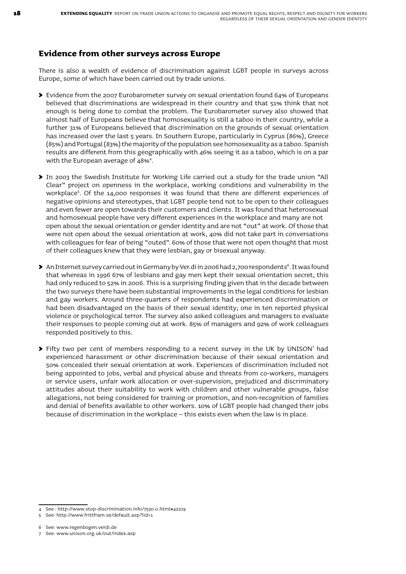#### **Evidence from other surveys across Europe**

There is also a wealth of evidence of discrimination against LGBT people in surveys across Europe, some of which have been carried out by trade unions.

- > Evidence from the 2007 Eurobarometer survey on sexual orientation found 64% of Europeans believed that discriminations are widespread in their country and that 51% think that not enough is being done to combat the problem. The Eurobarometer survey also showed that almost half of Europeans believe that homosexuality is still a taboo in their country, while a further 31% of Europeans believed that discrimination on the grounds of sexual orientation has increased over the last 5 years. In Southern Europe, particularly in Cyprus (86%), Greece (85%) and Portugal (83%) the majority of the population see homosexuality as a taboo. Spanish results are different from this geographically with 46% seeing it as a taboo, which is on a par with the European average of 48%<sup>4</sup>.
- > In 2003 the Swedish Institute for Working Life carried out a study for the trade union "All Clear" project on openness in the workplace, working conditions and vulnerability in the workplace<sup>5</sup>. Of the 14,000 responses it was found that there are different experiences of negative opinions and stereotypes, that LGBT people tend not to be open to their colleagues and even fewer are open towards their customers and clients. It was found that heterosexual and homosexual people have very different experiences in the workplace and many are not open about the sexual orientation or gender identity and are not "out" at work. Of those that were not open about the sexual orientation at work, 40% did not take part in conversations with colleagues for fear of being "outed". 60% of those that were not open thought that most of their colleagues knew that they were lesbian, gay or bisexual anyway.
- $\blacktriangleright$  An Internet survey carried out in Germany by Ver.di in 2006 had 2,700 respondents $^{\rm 6}$ . It was found that whereas in 1996 67% of lesbians and gay men kept their sexual orientation secret, this had only reduced to 52% in 2006. This is a surprising finding given that in the decade between the two surveys there have been substantial improvements in the legal conditions for lesbian and gay workers. Around three-quarters of respondents had experienced discrimination or had been disadvantaged on the basis of their sexual identity; one in ten reported physical violence or psychological terror. The survey also asked colleagues and managers to evaluate their responses to people coming out at work. 85% of managers and 92% of work colleagues responded positively to this.
- $\blacktriangleright$  Fifty two per cent of members responding to a recent survey in the UK by UNISON<sup>7</sup> had experienced harassment or other discrimination because of their sexual orientation and 50% concealed their sexual orientation at work. Experiences of discrimination included not being appointed to jobs, verbal and physical abuse and threats from co-workers, managers or service users, unfair work allocation or over-supervision, prejudiced and discriminatory attitudes about their suitability to work with children and other vulnerable groups, false allegations, not being considered for training or promotion, and non-recognition of families and denial of benefits available to other workers. 10% of LGBT people had changed their jobs because of discrimination in the workplace – this exists even when the law is in place.

<sup>4</sup> See : http://www.stop-discrimination.info/7530.0.html#42274

<sup>5</sup> See: http://www.frittfram.se/default.asp?lid=1

<sup>6</sup> See: www.regenbogen.verdi.de

<sup>7</sup> See: www.unison.org.uk/out/index.asp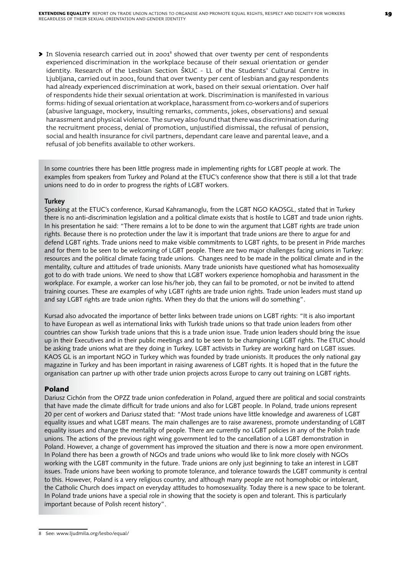$\blacktriangleright$  In Slovenia research carried out in 2001 $^{\text{s}}$  showed that over twenty per cent of respondents experienced discrimination in the workplace because of their sexual orientation or gender identity. Research of the Lesbian Section ŠKUC - LL of the Students' Cultural Centre in Ljubljana, carried out in 2001, found that over twenty per cent of lesbian and gay respondents had already experienced discrimination at work, based on their sexual orientation. Over half of respondents hide their sexual orientation at work. Discrimination is manifested in various forms: hiding of sexual orientation at workplace, harassment from co-workers and of superiors (abusive language, mockery, insulting remarks, comments, jokes, observations) and sexual harassment and physical violence. The survey also found that there was discrimination during the recruitment process, denial of promotion, unjustified dismissal, the refusal of pension, social and health insurance for civil partners, dependant care leave and parental leave, and a refusal of job benefits available to other workers.

In some countries there has been little progress made in implementing rights for LGBT people at work. The examples from speakers from Turkey and Poland at the ETUC's conference show that there is still a lot that trade unions need to do in order to progress the rights of LGBT workers.

#### **Turkey**

Speaking at the ETUC's conference, Kursad Kahramanoglu, from the LGBT NGO KAOSGL, stated that in Turkey there is no anti-discrimination legislation and a political climate exists that is hostile to LGBT and trade union rights. In his presentation he said: "There remains a lot to be done to win the argument that LGBT rights are trade union rights. Because there is no protection under the law it is important that trade unions are there to argue for and defend LGBT rights. Trade unions need to make visible commitments to LGBT rights, to be present in Pride marches and for them to be seen to be welcoming of LGBT people. There are two major challenges facing unions in Turkey: resources and the political climate facing trade unions. Changes need to be made in the political climate and in the mentality, culture and attitudes of trade unionists. Many trade unionists have questioned what has homosexuality got to do with trade unions. We need to show that LGBT workers experience homophobia and harassment in the workplace. For example, a worker can lose his/her job, they can fail to be promoted, or not be invited to attend training courses. These are examples of why LGBT rights are trade union rights. Trade union leaders must stand up and say LGBT rights are trade union rights. When they do that the unions will do something".

Kursad also advocated the importance of better links between trade unions on LGBT rights: "It is also important to have European as well as international links with Turkish trade unions so that trade union leaders from other countries can show Turkish trade unions that this is a trade union issue. Trade union leaders should bring the issue up in their Executives and in their public meetings and to be seen to be championing LGBT rights. The ETUC should be asking trade unions what are they doing in Turkey. LGBT activists in Turkey are working hard on LGBT issues. KAOS GL is an important NGO in Turkey which was founded by trade unionists. It produces the only national gay magazine in Turkey and has been important in raising awareness of LGBT rights. It is hoped that in the future the organisation can partner up with other trade union projects across Europe to carry out training on LGBT rights.

#### Poland

Dariusz Cichón from the OPZZ trade union confederation in Poland, argued there are political and social constraints that have made the climate difficult for trade unions and also for LGBT people. In Poland, trade unions represent 20 per cent of workers and Dariusz stated that: "Most trade unions have little knowledge and awareness of LGBT equality issues and what LGBT means. The main challenges are to raise awareness, promote understanding of LGBT equality issues and change the mentality of people. There are currently no LGBT policies in any of the Polish trade unions. The actions of the previous right wing government led to the cancellation of a LGBT demonstration in Poland. However, a change of government has improved the situation and there is now a more open environment. In Poland there has been a growth of NGOs and trade unions who would like to link more closely with NGOs working with the LGBT community in the future. Trade unions are only just beginning to take an interest in LGBT issues. Trade unions have been working to promote tolerance, and tolerance towards the LGBT community is central to this. However, Poland is a very religious country, and although many people are not homophobic or intolerant, the Catholic Church does impact on everyday attitudes to homosexuality. Today there is a new space to be tolerant. In Poland trade unions have a special role in showing that the society is open and tolerant. This is particularly important because of Polish recent history".

<sup>8</sup> See: www.ljudmila.org/lesbo/equal/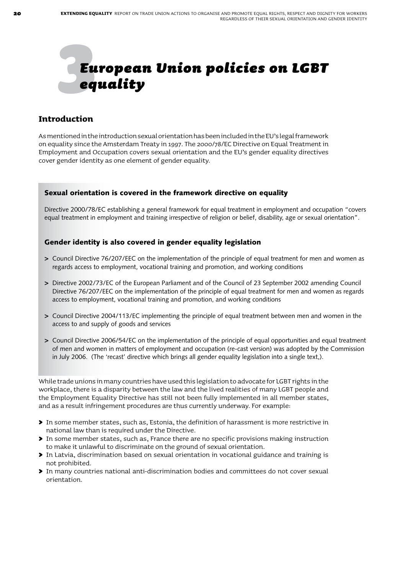## 3*European Union policies on LGBT equality*

#### **Introduction**

As mentioned in the introduction sexual orientation has been included in the EU's legal framework on equality since the Amsterdam Treaty in 1997. The 2000/78/EC Directive on Equal Treatment in Employment and Occupation covers sexual orientation and the EU's gender equality directives cover gender identity as one element of gender equality.

#### Sexual orientation is covered in the framework directive on equality

Directive 2000/78/EC establishing a general framework for equal treatment in employment and occupation "covers equal treatment in employment and training irrespective of religion or belief, disability, age or sexual orientation".

#### Gender identity is also covered in gender equality legislation

- **>** Council Directive 76/207/EEC on the implementation of the principle of equal treatment for men and women as regards access to employment, vocational training and promotion, and working conditions
- **>** Directive 2002/73/EC of the European Parliament and of the Council of 23 September 2002 amending Council Directive 76/207/EEC on the implementation of the principle of equal treatment for men and women as regards access to employment, vocational training and promotion, and working conditions
- **>** Council Directive 2004/113/EC implementing the principle of equal treatment between men and women in the access to and supply of goods and services
- **>** Council Directive 2006/54/EC on the implementation of the principle of equal opportunities and equal treatment of men and women in matters of employment and occupation (re-cast version) was adopted by the Commission in July 2006. (The 'recast' directive which brings all gender equality legislation into a single text,).

While trade unions in many countries have used this legislation to advocate for LGBT rights in the workplace, there is a disparity between the law and the lived realities of many LGBT people and the Employment Equality Directive has still not been fully implemented in all member states, and as a result infringement procedures are thus currently underway. For example:

- > In some member states, such as, Estonia, the definition of harassment is more restrictive in national law than is required under the Directive.
- > In some member states, such as, France there are no specific provisions making instruction to make it unlawful to discriminate on the ground of sexual orientation.
- > In Latvia, discrimination based on sexual orientation in vocational guidance and training is not prohibited.
- > In many countries national anti-discrimination bodies and committees do not cover sexual orientation.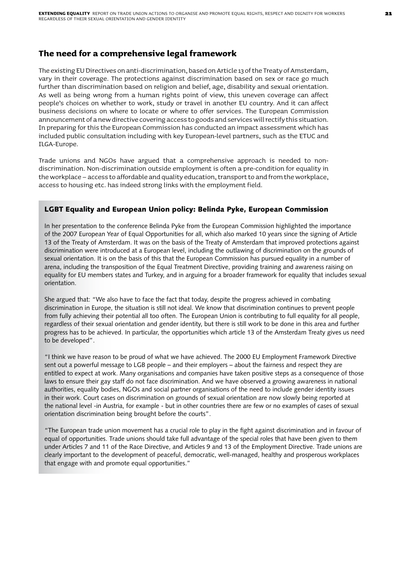#### **The need for a comprehensive legal framework**

The existing EU Directives on anti-discrimination, based on Article 13 of the Treaty of Amsterdam, vary in their coverage. The protections against discrimination based on sex or race go much further than discrimination based on religion and belief, age, disability and sexual orientation. As well as being wrong from a human rights point of view, this uneven coverage can affect people's choices on whether to work, study or travel in another EU country. And it can affect business decisions on where to locate or where to offer services. The European Commission announcement of a new directive covering access to goods and services will rectify this situation. In preparing for this the European Commission has conducted an impact assessment which has included public consultation including with key European-level partners, such as the ETUC and ILGA-Europe.

Trade unions and NGOs have argued that a comprehensive approach is needed to nondiscrimination. Non-discrimination outside employment is often a pre-condition for equality in the workplace – access to affordable and quality education, transport to and from the workplace, access to housing etc. has indeed strong links with the employment field.

#### LGBT Equality and European Union policy: Belinda Pyke, European Commission

In her presentation to the conference Belinda Pyke from the European Commission highlighted the importance of the 2007 European Year of Equal Opportunities for all, which also marked 10 years since the signing of Article 13 of the Treaty of Amsterdam. It was on the basis of the Treaty of Amsterdam that improved protections against discrimination were introduced at a European level, including the outlawing of discrimination on the grounds of sexual orientation. It is on the basis of this that the European Commission has pursued equality in a number of arena, including the transposition of the Equal Treatment Directive, providing training and awareness raising on equality for EU members states and Turkey, and in arguing for a broader framework for equality that includes sexual orientation.

She argued that: "We also have to face the fact that today, despite the progress achieved in combating discrimination in Europe, the situation is still not ideal. We know that discrimination continues to prevent people from fully achieving their potential all too often. The European Union is contributing to full equality for all people, regardless of their sexual orientation and gender identity, but there is still work to be done in this area and further progress has to be achieved. In particular, the opportunities which article 13 of the Amsterdam Treaty gives us need to be developed".

"I think we have reason to be proud of what we have achieved. The 2000 EU Employment Framework Directive sent out a powerful message to LGB people – and their employers – about the fairness and respect they are entitled to expect at work. Many organisations and companies have taken positive steps as a consequence of those laws to ensure their gay staff do not face discrimination. And we have observed a growing awareness in national authorities, equality bodies, NGOs and social partner organisations of the need to include gender identity issues in their work. Court cases on discrimination on grounds of sexual orientation are now slowly being reported at the national level -in Austria, for example - but in other countries there are few or no examples of cases of sexual orientation discrimination being brought before the courts".

"The European trade union movement has a crucial role to play in the fight against discrimination and in favour of equal of opportunities. Trade unions should take full advantage of the special roles that have been given to them under Articles 7 and 11 of the Race Directive, and Articles 9 and 13 of the Employment Directive. Trade unions are clearly important to the development of peaceful, democratic, well-managed, healthy and prosperous workplaces that engage with and promote equal opportunities."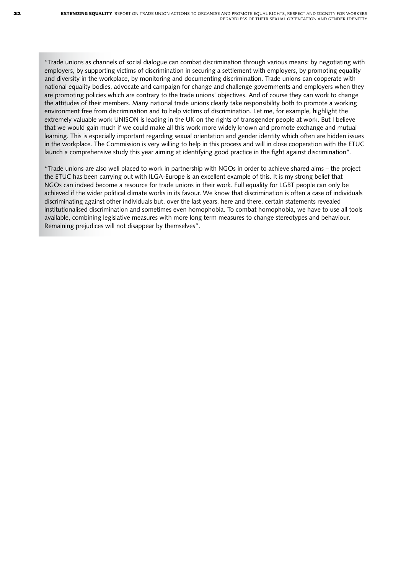"Trade unions as channels of social dialogue can combat discrimination through various means: by negotiating with employers, by supporting victims of discrimination in securing a settlement with employers, by promoting equality and diversity in the workplace, by monitoring and documenting discrimination. Trade unions can cooperate with national equality bodies, advocate and campaign for change and challenge governments and employers when they are promoting policies which are contrary to the trade unions' objectives. And of course they can work to change the attitudes of their members. Many national trade unions clearly take responsibility both to promote a working environment free from discrimination and to help victims of discrimination. Let me, for example, highlight the extremely valuable work UNISON is leading in the UK on the rights of transgender people at work. But I believe that we would gain much if we could make all this work more widely known and promote exchange and mutual learning. This is especially important regarding sexual orientation and gender identity which often are hidden issues in the workplace. The Commission is very willing to help in this process and will in close cooperation with the ETUC launch a comprehensive study this year aiming at identifying good practice in the fight against discrimination".

"Trade unions are also well placed to work in partnership with NGOs in order to achieve shared aims – the project the ETUC has been carrying out with ILGA-Europe is an excellent example of this. It is my strong belief that NGOs can indeed become a resource for trade unions in their work. Full equality for LGBT people can only be achieved if the wider political climate works in its favour. We know that discrimination is often a case of individuals discriminating against other individuals but, over the last years, here and there, certain statements revealed institutionalised discrimination and sometimes even homophobia. To combat homophobia, we have to use all tools available, combining legislative measures with more long term measures to change stereotypes and behaviour. Remaining prejudices will not disappear by themselves".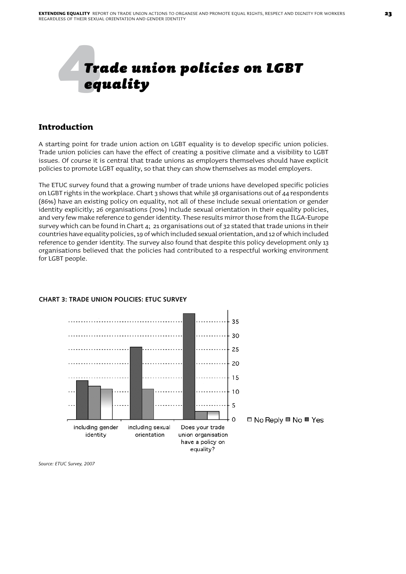## 4*Trade union policies on LGBT equality*

#### **Introduction**

A starting point for trade union action on LGBT equality is to develop specific union policies. Trade union policies can have the effect of creating a positive climate and a visibility to LGBT issues. Of course it is central that trade unions as employers themselves should have explicit policies to promote LGBT equality, so that they can show themselves as model employers.

The ETUC survey found that a growing number of trade unions have developed specific policies on LGBT rights in the workplace. Chart 3 shows that while 38 organisations out of 44 respondents (86%) have an existing policy on equality, not all of these include sexual orientation or gender identity explicitly; 26 organisations (70%) include sexual orientation in their equality policies, and very few make reference to gender identity. These results mirror those from the ILGA-Europe survey which can be found in Chart  $4$ ; 21 organisations out of 32 stated that trade unions in their countries have equality policies, 19 of which included sexual orientation, and 12 of which included reference to gender identity. The survey also found that despite this policy development only 13 organisations believed that the policies had contributed to a respectful working environment for LGBT people.



#### **Chart 3: Trade union policies: ETUC survey**

□ No Reply ■ No ■ Yes

*Source: ETUC Survey, 2007*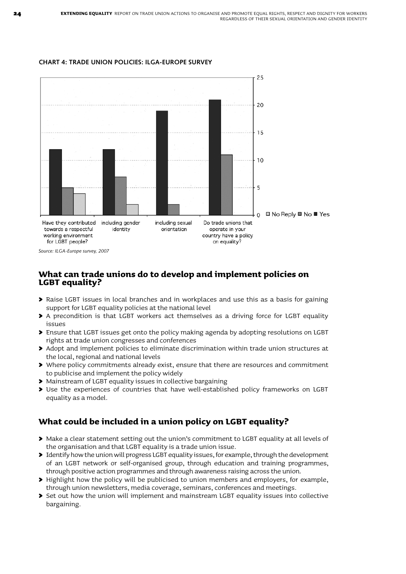#### **Chart 4: Trade Union policies: ILGA-Europe survey**



*Source: ILGA-Europe survey, 2007*

#### **What can trade unions do to develop and implement policies on LGBT equality?**

- > Raise LGBT issues in local branches and in workplaces and use this as a basis for gaining support for LGBT equality policies at the national level
- > A precondition is that LGBT workers act themselves as a driving force for LGBT equality issues
- > Ensure that LGBT issues get onto the policy making agenda by adopting resolutions on LGBT rights at trade union congresses and conferences
- > Adopt and implement policies to eliminate discrimination within trade union structures at the local, regional and national levels
- > Where policy commitments already exist, ensure that there are resources and commitment to publicise and implement the policy widely
- > Mainstream of LGBT equality issues in collective bargaining
- > Use the experiences of countries that have well-established policy frameworks on LGBT equality as a model.

#### **What could be included in a union policy on LGBT equality?**

- > Make a clear statement setting out the union's commitment to LGBT equality at all levels of the organisation and that LGBT equality is a trade union issue.
- > Identify how the union will progress LGBT equality issues, for example, through the development of an LGBT network or self-organised group, through education and training programmes, through positive action programmes and through awareness raising across the union.
- > Highlight how the policy will be publicised to union members and employers, for example, through union newsletters, media coverage, seminars, conferences and meetings.
- > Set out how the union will implement and mainstream LGBT equality issues into collective bargaining.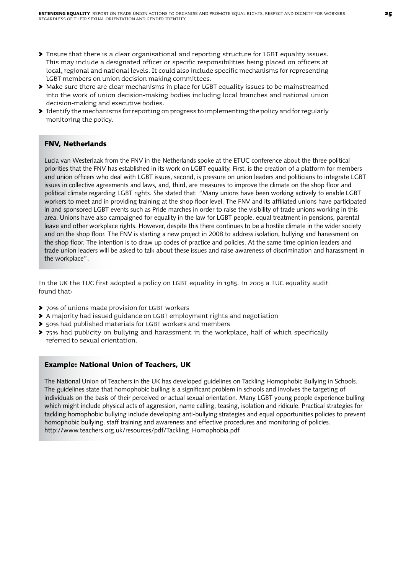- > Ensure that there is a clear organisational and reporting structure for LGBT equality issues. This may include a designated officer or specific responsibilities being placed on officers at local, regional and national levels. It could also include specific mechanisms for representing LGBT members on union decision making committees.
- > Make sure there are clear mechanisms in place for LGBT equality issues to be mainstreamed into the work of union decision-making bodies including local branches and national union decision-making and executive bodies.
- > Identify the mechanisms for reporting on progress to implementing the policy and for regularly monitoring the policy.

#### FNV, Netherlands

Lucia van Westerlaak from the FNV in the Netherlands spoke at the ETUC conference about the three political priorities that the FNV has established in its work on LGBT equality. First, is the creation of a platform for members and union officers who deal with LGBT issues, second, is pressure on union leaders and politicians to integrate LGBT issues in collective agreements and laws, and, third, are measures to improve the climate on the shop floor and political climate regarding LGBT rights. She stated that: "Many unions have been working actively to enable LGBT workers to meet and in providing training at the shop floor level. The FNV and its affiliated unions have participated in and sponsored LGBT events such as Pride marches in order to raise the visibility of trade unions working in this area. Unions have also campaigned for equality in the law for LGBT people, equal treatment in pensions, parental leave and other workplace rights. However, despite this there continues to be a hostile climate in the wider society and on the shop floor. The FNV is starting a new project in 2008 to address isolation, bullying and harassment on the shop floor. The intention is to draw up codes of practice and policies. At the same time opinion leaders and trade union leaders will be asked to talk about these issues and raise awareness of discrimination and harassment in the workplace".

In the UK the TUC first adopted a policy on LGBT equality in 1985. In 2005 a TUC equality audit found that:

- > 70% of unions made provision for LGBT workers
- > A majority had issued guidance on LGBT employment rights and negotiation
- > 50% had published materials for LGBT workers and members
- > 75% had publicity on bullying and harassment in the workplace, half of which specifically referred to sexual orientation.

#### Example: National Union of Teachers, UK

The National Union of Teachers in the UK has developed guidelines on Tackling Homophobic Bullying in Schools. The guidelines state that homophobic bulling is a significant problem in schools and involves the targeting of individuals on the basis of their perceived or actual sexual orientation. Many LGBT young people experience bulling which might include physical acts of aggression, name calling, teasing, isolation and ridicule. Practical strategies for tackling homophobic bullying include developing anti-bullying strategies and equal opportunities policies to prevent homophobic bullying, staff training and awareness and effective procedures and monitoring of policies. http://www.teachers.org.uk/resources/pdf/Tackling\_Homophobia.pdf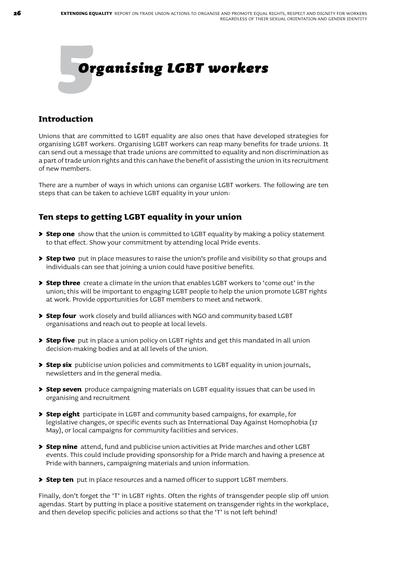## 5*Organising LGBT workers*

#### **Introduction**

Unions that are committed to LGBT equality are also ones that have developed strategies for organising LGBT workers. Organising LGBT workers can reap many benefits for trade unions. It can send out a message that trade unions are committed to equality and non discrimination as a part of trade union rights and this can have the benefit of assisting the union in its recruitment of new members.

There are a number of ways in which unions can organise LGBT workers. The following are ten steps that can be taken to achieve LGBT equality in your union:

#### **Ten steps to getting LGBT equality in your union**

- > **Step one** show that the union is committed to LGBT equality by making a policy statement to that effect. Show your commitment by attending local Pride events.
- > **Step two** put in place measures to raise the union's profile and visibility so that groups and individuals can see that joining a union could have positive benefits.
- > **Step three** create a climate in the union that enables LGBT workers to 'come out' in the union; this will be important to engaging LGBT people to help the union promote LGBT rights at work. Provide opportunities for LGBT members to meet and network.
- > **Step four** work closely and build alliances with NGO and community based LGBT organisations and reach out to people at local levels.
- > **Step five** put in place a union policy on LGBT rights and get this mandated in all union decision-making bodies and at all levels of the union.
- > **Step six** publicise union policies and commitments to LGBT equality in union journals, newsletters and in the general media.
- > **Step seven** produce campaigning materials on LGBT equality issues that can be used in organising and recruitment
- > **Step eight** participate in LGBT and community based campaigns, for example, for legislative changes, or specific events such as International Day Against Homophobia (17 May), or local campaigns for community facilities and services.
- > **Step nine** attend, fund and publicise union activities at Pride marches and other LGBT events. This could include providing sponsorship for a Pride march and having a presence at Pride with banners, campaigning materials and union information.
- > **Step ten** put in place resources and a named officer to support LGBT members.

Finally, don't forget the 'T' in LGBT rights. Often the rights of transgender people slip off union agendas. Start by putting in place a positive statement on transgender rights in the workplace, and then develop specific policies and actions so that the 'T' is not left behind!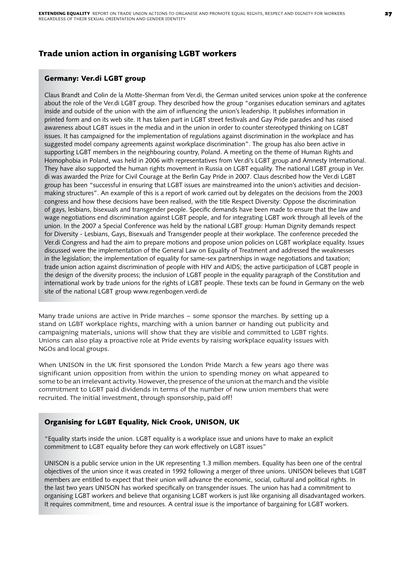#### **Trade union action in organising LGBT workers**

#### Germany: Ver.di LGBT group

Claus Brandt and Colin de la Motte-Sherman from Ver.di, the German united services union spoke at the conference about the role of the Ver.di LGBT group. They described how the group "organises education seminars and agitates inside and outside of the union with the aim of influencing the union's leadership. It publishes information in printed form and on its web site. It has taken part in LGBT street festivals and Gay Pride parades and has raised awareness about LGBT issues in the media and in the union in order to counter stereotyped thinking on LGBT issues. It has campaigned for the implementation of regulations against discrimination in the workplace and has suggested model company agreements against workplace discrimination". The group has also been active in supporting LGBT members in the neighbouring country, Poland. A meeting on the theme of Human Rights and Homophobia in Poland, was held in 2006 with representatives from Ver.di's LGBT group and Amnesty International. They have also supported the human rights movement in Russia on LGBT equality. The national LGBT group in Ver. di was awarded the Prize for Civil Courage at the Berlin Gay Pride in 2007. Claus described how the Ver.di LGBT group has been "successful in ensuring that LGBT issues are mainstreamed into the union's activities and decisionmaking structures". An example of this is a report of work carried out by delegates on the decisions from the 2003 congress and how these decisions have been realised, with the title Respect Diversity: Oppose the discrimination of gays, lesbians, bisexuals and transgender people. Specific demands have been made to ensure that the law and wage negotiations end discrimination against LGBT people, and for integrating LGBT work through all levels of the union. In the 2007 a Special Conference was held by the national LGBT group: Human Dignity demands respect for Diversity - Lesbians, Gays, Bisexuals and Transgender people at their workplace. The conference preceded the Ver.di Congress and had the aim to prepare motions and propose union policies on LGBT workplace equality. Issues discussed were the implementation of the General Law on Equality of Treatment and addressed the weaknesses in the legislation; the implementation of equality for same-sex partnerships in wage negotiations and taxation; trade union action against discrimination of people with HIV and AIDS; the active participation of LGBT people in the design of the diversity process; the inclusion of LGBT people in the equality paragraph of the Constitution and international work by trade unions for the rights of LGBT people. These texts can be found in Germany on the web site of the national LGBT group www.regenbogen.verdi.de

Many trade unions are active in Pride marches – some sponsor the marches. By setting up a stand on LGBT workplace rights, marching with a union banner or handing out publicity and campaigning materials, unions will show that they are visible and committed to LGBT rights. Unions can also play a proactive role at Pride events by raising workplace equality issues with NGOs and local groups.

When UNISON in the UK first sponsored the London Pride March a few years ago there was significant union opposition from within the union to spending money on what appeared to some to be an irrelevant activity. However, the presence of the union at the march and the visible commitment to LGBT paid dividends in terms of the number of new union members that were recruited. The initial investment, through sponsorship, paid off!

#### Organising for LGBT Equality, Nick Crook, UNISON, UK

"Equality starts inside the union. LGBT equality is a workplace issue and unions have to make an explicit commitment to LGBT equality before they can work effectively on LGBT issues"

UNISON is a public service union in the UK representing 1.3 million members. Equality has been one of the central objectives of the union since it was created in 1992 following a merger of three unions. UNISON believes that LGBT members are entitled to expect that their union will advance the economic, social, cultural and political rights. In the last two years UNISON has worked specifically on transgender issues. The union has had a commitment to organising LGBT workers and believe that organising LGBT workers is just like organising all disadvantaged workers. It requires commitment, time and resources. A central issue is the importance of bargaining for LGBT workers.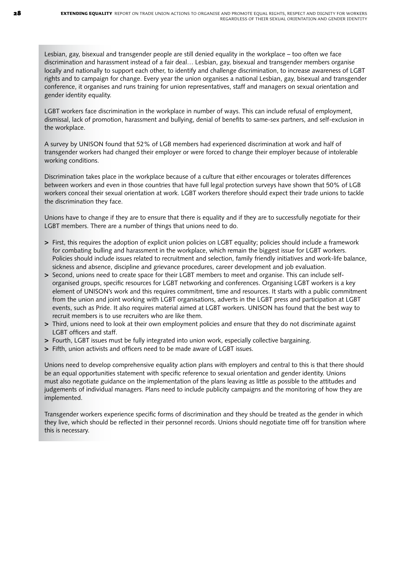Lesbian, gay, bisexual and transgender people are still denied equality in the workplace – too often we face discrimination and harassment instead of a fair deal… Lesbian, gay, bisexual and transgender members organise locally and nationally to support each other, to identify and challenge discrimination, to increase awareness of LGBT rights and to campaign for change. Every year the union organises a national Lesbian, gay, bisexual and transgender conference, it organises and runs training for union representatives, staff and managers on sexual orientation and gender identity equality.

LGBT workers face discrimination in the workplace in number of ways. This can include refusal of employment, dismissal, lack of promotion, harassment and bullying, denial of benefits to same-sex partners, and self-exclusion in the workplace.

A survey by UNISON found that 52% of LGB members had experienced discrimination at work and half of transgender workers had changed their employer or were forced to change their employer because of intolerable working conditions.

Discrimination takes place in the workplace because of a culture that either encourages or tolerates differences between workers and even in those countries that have full legal protection surveys have shown that 50% of LGB workers conceal their sexual orientation at work. LGBT workers therefore should expect their trade unions to tackle the discrimination they face.

Unions have to change if they are to ensure that there is equality and if they are to successfully negotiate for their LGBT members. There are a number of things that unions need to do.

- **>** First, this requires the adoption of explicit union policies on LGBT equality; policies should include a framework for combating bulling and harassment in the workplace, which remain the biggest issue for LGBT workers. Policies should include issues related to recruitment and selection, family friendly initiatives and work-life balance, sickness and absence, discipline and grievance procedures, career development and job evaluation.
- **>** Second, unions need to create space for their LGBT members to meet and organise. This can include selforganised groups, specific resources for LGBT networking and conferences. Organising LGBT workers is a key element of UNISON's work and this requires commitment, time and resources. It starts with a public commitment from the union and joint working with LGBT organisations, adverts in the LGBT press and participation at LGBT events, such as Pride. It also requires material aimed at LGBT workers. UNISON has found that the best way to recruit members is to use recruiters who are like them.
- **>** Third, unions need to look at their own employment policies and ensure that they do not discriminate against LGBT officers and staff.
- **>** Fourth, LGBT issues must be fully integrated into union work, especially collective bargaining.
- **>** Fifth, union activists and officers need to be made aware of LGBT issues.

Unions need to develop comprehensive equality action plans with employers and central to this is that there should be an equal opportunities statement with specific reference to sexual orientation and gender identity. Unions must also negotiate guidance on the implementation of the plans leaving as little as possible to the attitudes and judgements of individual managers. Plans need to include publicity campaigns and the monitoring of how they are implemented.

Transgender workers experience specific forms of discrimination and they should be treated as the gender in which they live, which should be reflected in their personnel records. Unions should negotiate time off for transition where this is necessary.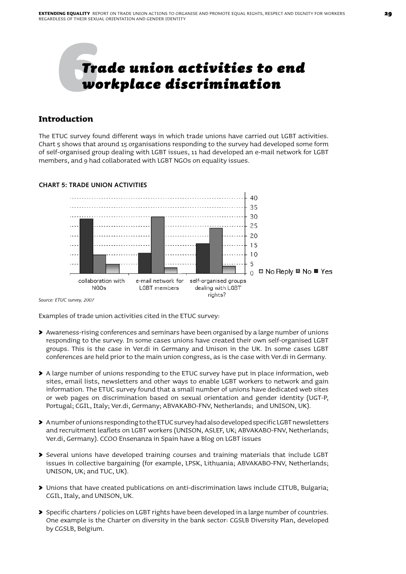# 6*Trade union activities to end workplace discrimination*

#### **Introduction**

The ETUC survey found different ways in which trade unions have carried out LGBT activities. Chart 5 shows that around 15 organisations responding to the survey had developed some form of self-organised group dealing with LGBT issues, 11 had developed an e-mail network for LGBT members, and 9 had collaborated with LGBT NGOs on equality issues.



#### **Chart 5: Trade union activities**

Examples of trade union activities cited in the ETUC survey:

- > Awareness-rising conferences and seminars have been organised by a large number of unions responding to the survey. In some cases unions have created their own self-organised LGBT groups. This is the case in Ver.di in Germany and Unison in the UK. In some cases LGBT conferences are held prior to the main union congress, as is the case with Ver.di in Germany.
- > A large number of unions responding to the ETUC survey have put in place information, web sites, email lists, newsletters and other ways to enable LGBT workers to network and gain information. The ETUC survey found that a small number of unions have dedicated web sites or web pages on discrimination based on sexual orientation and gender identity (UGT-P, Portugal; CGIL, Italy; Ver.di, Germany; ABVAKABO-FNV, Netherlands; and UNISON, UK).
- > A number of unions responding to the ETUC survey had also developed specific LGBT newsletters and recruitment leaflets on LGBT workers (UNISON, ASLEF, UK; ABVAKABO-FNV, Netherlands; Ver.di, Germany). CCOO Ensenanza in Spain have a Blog on LGBT issues
- > Several unions have developed training courses and training materials that include LGBT issues in collective bargaining (for example, LPSK, Lithuania; ABVAKABO-FNV, Netherlands; UNISON, UK; and TUC, UK).
- > Unions that have created publications on anti-discrimination laws include CITUB, Bulgaria; CGIL, Italy, and UNISON, UK.
- > Specific charters / policies on LGBT rights have been developed in a large number of countries. One example is the Charter on diversity in the bank sector: CGSLB Diversity Plan, developed by CGSLB, Belgium.

*Source: ETUC survey, 2007*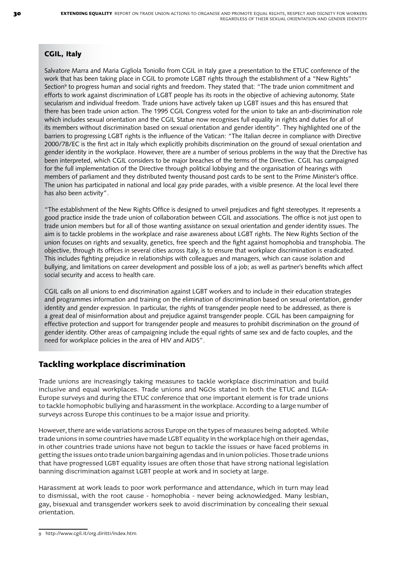#### CGIL, Italy

Salvatore Marra and Maria Gigliola Toniollo from CGIL in Italy gave a presentation to the ETUC conference of the work that has been taking place in CGIL to promote LGBT rights through the establishment of a "New Rights" Section<sup>9</sup> to progress human and social rights and freedom. They stated that: "The trade union commitment and efforts to work against discrimination of LGBT people has its roots in the objective of achieving autonomy, State secularism and individual freedom. Trade unions have actively taken up LGBT issues and this has ensured that there has been trade union action. The 1995 CGIL Congress voted for the union to take an anti-discrimination role which includes sexual orientation and the CGIL Statue now recognises full equality in rights and duties for all of its members without discrimination based on sexual orientation and gender identity". They highlighted one of the barriers to progressing LGBT rights is the influence of the Vatican: "The Italian decree in compliance with Directive 2000/78/EC is the first act in Italy which explicitly prohibits discrimination on the ground of sexual orientation and gender identity in the workplace. However, there are a number of serious problems in the way that the Directive has been interpreted, which CGIL considers to be major breaches of the terms of the Directive. CGIL has campaigned for the full implementation of the Directive through political lobbying and the organisation of hearings with members of parliament and they distributed twenty thousand post cards to be sent to the Prime Minister's office. The union has participated in national and local gay pride parades, with a visible presence. At the local level there has also been activity".

"The establishment of the New Rights Office is designed to unveil prejudices and fight stereotypes. It represents a good practice inside the trade union of collaboration between CGIL and associations. The office is not just open to trade union members but for all of those wanting assistance on sexual orientation and gender identity issues. The aim is to tackle problems in the workplace and raise awareness about LGBT rights. The New Rights Section of the union focuses on rights and sexuality, genetics, free speech and the fight against homophobia and transphobia. The objective, through its offices in several cities across Italy, is to ensure that workplace discrimination is eradicated. This includes fighting prejudice in relationships with colleagues and managers, which can cause isolation and bullying, and limitations on career development and possible loss of a job; as well as partner's benefits which affect social security and access to health care.

CGIL calls on all unions to end discrimination against LGBT workers and to include in their education strategies and programmes information and training on the elimination of discrimination based on sexual orientation, gender identity and gender expression. In particular, the rights of transgender people need to be addressed, as there is a great deal of misinformation about and prejudice against transgender people. CGIL has been campaigning for effective protection and support for transgender people and measures to prohibit discrimination on the ground of gender identity. Other areas of campaigning include the equal rights of same sex and de facto couples, and the need for workplace policies in the area of HIV and AIDS".

#### **Tackling workplace discrimination**

Trade unions are increasingly taking measures to tackle workplace discrimination and build inclusive and equal workplaces. Trade unions and NGOs stated in both the ETUC and ILGA-Europe surveys and during the ETUC conference that one important element is for trade unions to tackle homophobic bullying and harassment in the workplace. According to a large number of surveys across Europe this continues to be a major issue and priority.

However, there are wide variations across Europe on the types of measures being adopted. While trade unions in some countries have made LGBT equality in the workplace high on their agendas, in other countries trade unions have not begun to tackle the issues or have faced problems in getting the issues onto trade union bargaining agendas and in union policies. Those trade unions that have progressed LGBT equality issues are often those that have strong national legislation banning discrimination against LGBT people at work and in society at large.

Harassment at work leads to poor work performance and attendance, which in turn may lead to dismissal, with the root cause - homophobia - never being acknowledged. Many lesbian, gay, bisexual and transgender workers seek to avoid discrimination by concealing their sexual orientation.

<sup>9</sup> http://www.cgil.it/org.diritti/index.htm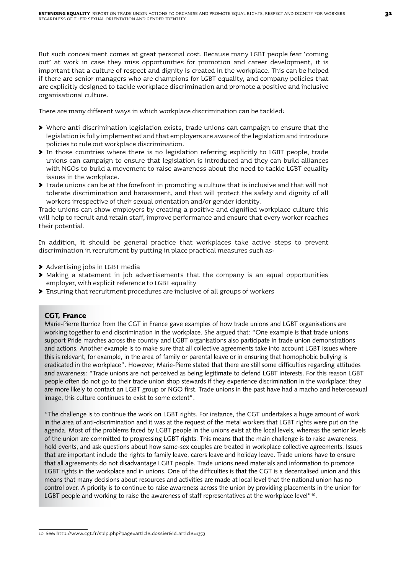But such concealment comes at great personal cost. Because many LGBT people fear 'coming out' at work in case they miss opportunities for promotion and career development, it is important that a culture of respect and dignity is created in the workplace. This can be helped if there are senior managers who are champions for LGBT equality, and company policies that are explicitly designed to tackle workplace discrimination and promote a positive and inclusive organisational culture.

There are many different ways in which workplace discrimination can be tackled:

- > Where anti-discrimination legislation exists, trade unions can campaign to ensure that the legislation is fully implemented and that employers are aware of the legislation and introduce policies to rule out workplace discrimination.
- > In those countries where there is no legislation referring explicitly to LGBT people, trade unions can campaign to ensure that legislation is introduced and they can build alliances with NGOs to build a movement to raise awareness about the need to tackle LGBT equality issues in the workplace.
- > Trade unions can be at the forefront in promoting a culture that is inclusive and that will not tolerate discrimination and harassment, and that will protect the safety and dignity of all workers irrespective of their sexual orientation and/or gender identity.

Trade unions can show employers by creating a positive and dignified workplace culture this will help to recruit and retain staff, improve performance and ensure that every worker reaches their potential.

In addition, it should be general practice that workplaces take active steps to prevent discrimination in recruitment by putting in place practical measures such as:

- > Advertising jobs in LGBT media
- > Making a statement in job advertisements that the company is an equal opportunities employer, with explicit reference to LGBT equality
- > Ensuring that recruitment procedures are inclusive of all groups of workers

#### CGT, France

Marie-Pierre Iturrioz from the CGT in France gave examples of how trade unions and LGBT organisations are working together to end discrimination in the workplace. She argued that: "One example is that trade unions support Pride marches across the country and LGBT organisations also participate in trade union demonstrations and actions. Another example is to make sure that all collective agreements take into account LGBT issues where this is relevant, for example, in the area of family or parental leave or in ensuring that homophobic bullying is eradicated in the workplace". However, Marie-Pierre stated that there are still some difficulties regarding attitudes and awareness: "Trade unions are not perceived as being legitimate to defend LGBT interests. For this reason LGBT people often do not go to their trade union shop stewards if they experience discrimination in the workplace; they are more likely to contact an LGBT group or NGO first. Trade unions in the past have had a macho and heterosexual image, this culture continues to exist to some extent".

"The challenge is to continue the work on LGBT rights. For instance, the CGT undertakes a huge amount of work in the area of anti-discrimination and it was at the request of the metal workers that LGBT rights were put on the agenda. Most of the problems faced by LGBT people in the unions exist at the local levels, whereas the senior levels of the union are committed to progressing LGBT rights. This means that the main challenge is to raise awareness, hold events, and ask questions about how same-sex couples are treated in workplace collective agreements. Issues that are important include the rights to family leave, carers leave and holiday leave. Trade unions have to ensure that all agreements do not disadvantage LGBT people. Trade unions need materials and information to promote LGBT rights in the workplace and in unions. One of the difficulties is that the CGT is a decentalised union and this means that many decisions about resources and activities are made at local level that the national union has no control over. A priority is to continue to raise awareness across the union by providing placements in the union for LGBT people and working to raise the awareness of staff representatives at the workplace level"<sup>10</sup>.

<sup>10</sup> See: http://www.cgt.fr/spip.php?page=article\_dossier&id\_article=1353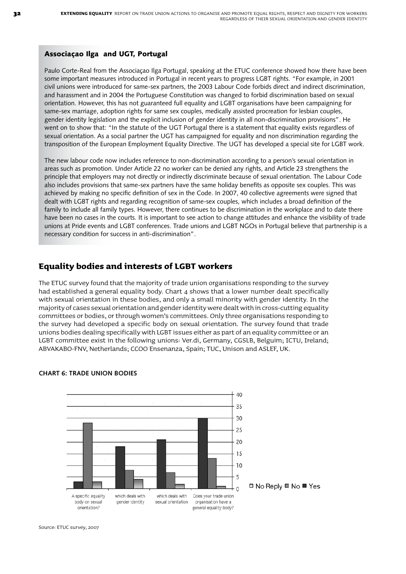#### Associaçao Ilga and UGT, Portugal

Paulo Corte-Real from the Associaçao Ilga Portugal, speaking at the ETUC conference showed how there have been some important measures introduced in Portugal in recent years to progress LGBT rights. "For example, in 2001 civil unions were introduced for same-sex partners, the 2003 Labour Code forbids direct and indirect discrimination, and harassment and in 2004 the Portuguese Constitution was changed to forbid discrimination based on sexual orientation. However, this has not guaranteed full equality and LGBT organisations have been campaigning for same-sex marriage, adoption rights for same sex couples, medically assisted procreation for lesbian couples, gender identity legislation and the explicit inclusion of gender identity in all non-discrimination provisions". He went on to show that: "In the statute of the UGT Portugal there is a statement that equality exists regardless of sexual orientation. As a social partner the UGT has campaigned for equality and non discrimination regarding the transposition of the European Employment Equality Directive. The UGT has developed a special site for LGBT work.

The new labour code now includes reference to non-discrimination according to a person's sexual orientation in areas such as promotion. Under Article 22 no worker can be denied any rights, and Article 23 strengthens the principle that employers may not directly or indirectly discriminate because of sexual orientation. The Labour Code also includes provisions that same-sex partners have the same holiday benefits as opposite sex couples. This was achieved by making no specific definition of sex in the Code. In 2007, 40 collective agreements were signed that dealt with LGBT rights and regarding recognition of same-sex couples, which includes a broad definition of the family to include all family types. However, there continues to be discrimination in the workplace and to date there have been no cases in the courts. It is important to see action to change attitudes and enhance the visibility of trade unions at Pride events and LGBT conferences. Trade unions and LGBT NGOs in Portugal believe that partnership is a necessary condition for success in anti-discrimination".

#### **Equality bodies and interests of LGBT workers**

The ETUC survey found that the majority of trade union organisations responding to the survey had established a general equality body. Chart 4 shows that a lower number dealt specifically with sexual orientation in these bodies, and only a small minority with gender identity. In the majority of cases sexual orientation and gender identity were dealt with in cross-cutting equality committees or bodies, or through women's committees. Only three organisations responding to the survey had developed a specific body on sexual orientation. The survey found that trade unions bodies dealing specifically with LGBT issues either as part of an equality committee or an LGBT committee exist in the following unions: Ver.di, Germany, CGSLB, Belguim; ICTU, Ireland; ABVAKABO-FNV, Netherlands; CCOO Ensenanza, Spain; TUC, Unison and ASLEF, UK.

#### **Chart 6: Trade union bodies**



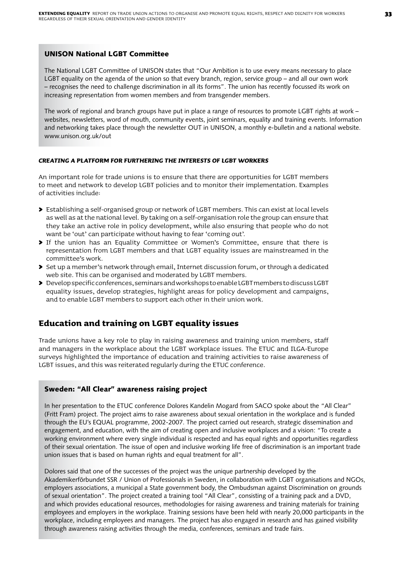#### UNISON National LGBT Committee

The National LGBT Committee of UNISON states that "Our Ambition is to use every means necessary to place LGBT equality on the agenda of the union so that every branch, region, service group – and all our own work – recognises the need to challenge discrimination in all its forms". The union has recently focussed its work on increasing representation from women members and from transgender members.

The work of regional and branch groups have put in place a range of resources to promote LGBT rights at work – websites, newsletters, word of mouth, community events, joint seminars, equality and training events. Information and networking takes place through the newsletter OUT in UNISON, a monthly e-bulletin and a national website. www.unison.org.uk/out

#### *creating a platform for furthering the interests of LGBT workers*

An important role for trade unions is to ensure that there are opportunities for LGBT members to meet and network to develop LGBT policies and to monitor their implementation. Examples of activities include:

- > Establishing a self-organised group or network of LGBT members. This can exist at local levels as well as at the national level. By taking on a self-organisation role the group can ensure that they take an active role in policy development, while also ensuring that people who do not want be 'out' can participate without having to fear 'coming out'.
- > If the union has an Equality Committee or Women's Committee, ensure that there is representation from LGBT members and that LGBT equality issues are mainstreamed in the committee's work.
- > Set up a member's network through email, Internet discussion forum, or through a dedicated web site. This can be organised and moderated by LGBT members.
- > Develop specific conferences, seminars and workshops to enable LGBT members to discuss LGBT equality issues, develop strategies, highlight areas for policy development and campaigns, and to enable LGBT members to support each other in their union work.

#### **Education and training on LGBT equality issues**

Trade unions have a key role to play in raising awareness and training union members, staff and managers in the workplace about the LGBT workplace issues. The ETUC and ILGA-Europe surveys highlighted the importance of education and training activities to raise awareness of LGBT issues, and this was reiterated regularly during the ETUC conference.

#### Sweden: "All Clear" awareness raising project

In her presentation to the ETUC conference Dolores Kandelin Mogard from SACO spoke about the "All Clear" (Fritt Fram) project. The project aims to raise awareness about sexual orientation in the workplace and is funded through the EU's EQUAL programme, 2002-2007. The project carried out research, strategic dissemination and engagement, and education, with the aim of creating open and inclusive workplaces and a vision: "To create a working environment where every single individual is respected and has equal rights and opportunities regardless of their sexual orientation. The issue of open and inclusive working life free of discrimination is an important trade union issues that is based on human rights and equal treatment for all".

Dolores said that one of the successes of the project was the unique partnership developed by the Akademikerförbundet SSR / Union of Professionals in Sweden, in collaboration with LGBT organisations and NGOs, employers associations, a municipal a State government body, the Ombudsman against Discrimination on grounds of sexual orientation". The project created a training tool "All Clear", consisting of a training pack and a DVD, and which provides educational resources, methodologies for raising awareness and training materials for training employees and employers in the workplace. Training sessions have been held with nearly 20,000 participants in the workplace, including employees and managers. The project has also engaged in research and has gained visibility through awareness raising activities through the media, conferences, seminars and trade fairs.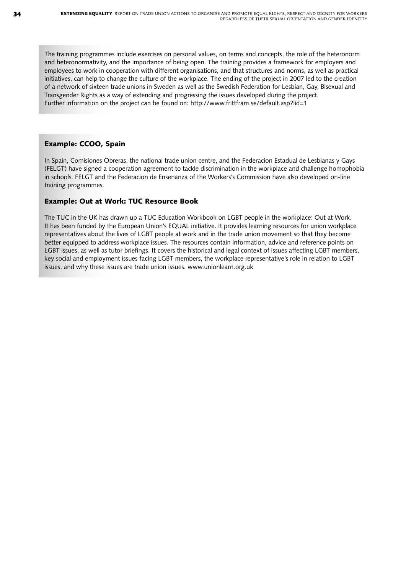The training programmes include exercises on personal values, on terms and concepts, the role of the heteronorm and heteronormativity, and the importance of being open. The training provides a framework for employers and employees to work in cooperation with different organisations, and that structures and norms, as well as practical initiatives, can help to change the culture of the workplace. The ending of the project in 2007 led to the creation of a network of sixteen trade unions in Sweden as well as the Swedish Federation for Lesbian, Gay, Bisexual and Transgender Rights as a way of extending and progressing the issues developed during the project. Further information on the project can be found on: http://www.frittfram.se/default.asp?lid=1

#### Example: CCOO, Spain

In Spain, Comisiones Obreras, the national trade union centre, and the Federacion Estadual de Lesbianas y Gays (FELGT) have signed a cooperation agreement to tackle discrimination in the workplace and challenge homophobia in schools. FELGT and the Federacion de Ensenanza of the Workers's Commission have also developed on-line training programmes.

#### Example: Out at Work: TUC Resource Book

The TUC in the UK has drawn up a TUC Education Workbook on LGBT people in the workplace: Out at Work. It has been funded by the European Union's EQUAL initiative. It provides learning resources for union workplace representatives about the lives of LGBT people at work and in the trade union movement so that they become better equipped to address workplace issues. The resources contain information, advice and reference points on LGBT issues, as well as tutor briefings. It covers the historical and legal context of issues affecting LGBT members, key social and employment issues facing LGBT members, the workplace representative's role in relation to LGBT issues, and why these issues are trade union issues. www.unionlearn.org.uk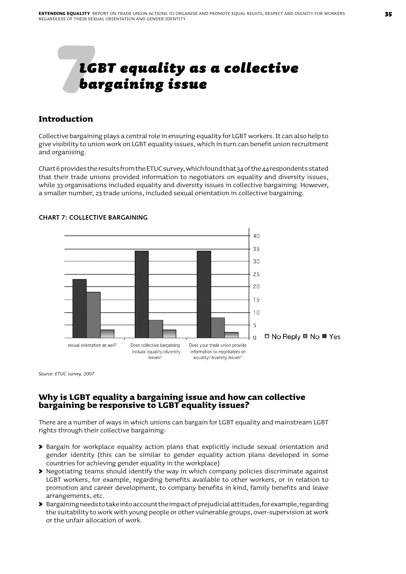## 7*LGBT equality as a collective bargaining issue*

#### **Introduction**

Collective bargaining plays a central role in ensuring equality for LGBT workers. It can also help to give visibility to union work on LGBT equality issues, which in turn can benefit union recruitment and organising.

Chart 6 provides the results from the ETUC survey, which found that 34 of the 44 respondents stated that their trade unions provided information to negotiators on equality and diversity issues, while 33 organisations included equality and diversity issues in collective bargaining. However, a smaller number, 23 trade unions, included sexual orientation in collective bargaining.



#### **Chart 7: Collective bargaining**

*Source: ETUC survey, 2007*

## **Why is LGBT equality a bargaining issue and how can collective bargaining be responsive to LGBT equality issues?**

There are a number of ways in which unions can bargain for LGBT equality and mainstream LGBT rights through their collective bargaining:

- > Bargain for workplace equality action plans that explicitly include sexual orientation and gender identity (this can be similar to gender equality action plans developed in some countries for achieving gender equality in the workplace)
- > Negotiating teams should identify the way in which company policies discriminate against LGBT workers, for example, regarding benefits available to other workers, or in relation to promotion and career development, to company benefits in kind, family benefits and leave arrangements, etc.
- > Bargaining needs to take into account the impact of prejudicial attitudes, for example, regarding the suitability to work with young people or other vulnerable groups, over-supervision at work or the unfair allocation of work.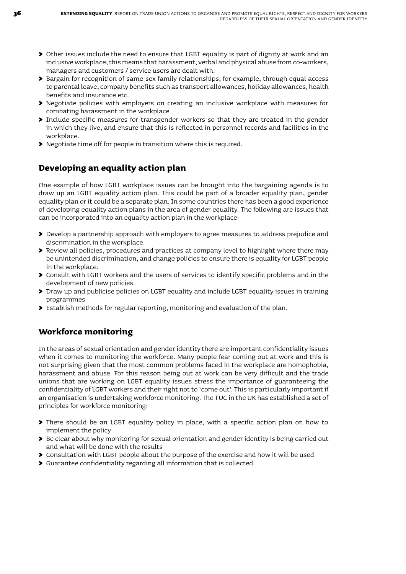- > Other issues include the need to ensure that LGBT equality is part of dignity at work and an inclusive workplace; this means that harassment, verbal and physical abuse from co-workers, managers and customers / service users are dealt with.
- > Bargain for recognition of same-sex family relationships, for example, through equal access to parental leave, company benefits such as transport allowances, holiday allowances, health benefits and insurance etc.
- > Negotiate policies with employers on creating an inclusive workplace with measures for combating harassment in the workplace
- > Include specific measures for transgender workers so that they are treated in the gender in which they live, and ensure that this is reflected in personnel records and facilities in the workplace.
- > Negotiate time off for people in transition where this is required.

#### **Developing an equality action plan**

One example of how LGBT workplace issues can be brought into the bargaining agenda is to draw up an LGBT equality action plan. This could be part of a broader equality plan, gender equality plan or it could be a separate plan. In some countries there has been a good experience of developing equality action plans in the area of gender equality. The following are issues that can be incorporated into an equality action plan in the workplace:

- > Develop a partnership approach with employers to agree measures to address prejudice and discrimination in the workplace.
- > Review all policies, procedures and practices at company level to highlight where there may be unintended discrimination, and change policies to ensure there is equality for LGBT people in the workplace.
- > Consult with LGBT workers and the users of services to identify specific problems and in the development of new policies.
- > Draw up and publicise policies on LGBT equality and include LGBT equality issues in training programmes
- > Establish methods for regular reporting, monitoring and evaluation of the plan.

#### **Workforce monitoring**

In the areas of sexual orientation and gender identity there are important confidentiality issues when it comes to monitoring the workforce. Many people fear coming out at work and this is not surprising given that the most common problems faced in the workplace are homophobia, harassment and abuse. For this reason being out at work can be very difficult and the trade unions that are working on LGBT equality issues stress the importance of guaranteeing the confidentiality of LGBT workers and their right not to 'come out'. This is particularly important if an organisation is undertaking workforce monitoring. The TUC in the UK has established a set of principles for workforce monitoring:

- > There should be an LGBT equality policy in place, with a specific action plan on how to implement the policy
- > Be clear about why monitoring for sexual orientation and gender identity is being carried out and what will be done with the results
- > Consultation with LGBT people about the purpose of the exercise and how it will be used
- > Guarantee confidentiality regarding all information that is collected.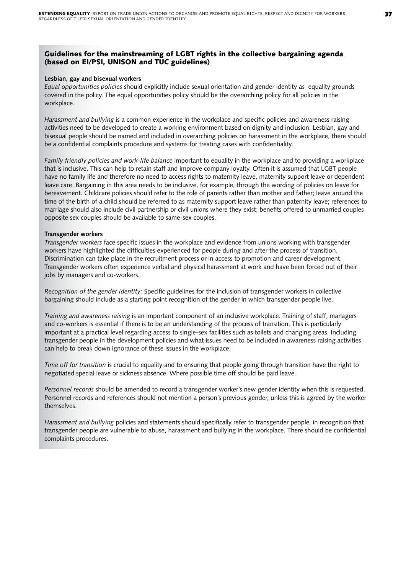#### Guidelines for the mainstreaming of LGBT rights in the collective bargaining agenda (based on EI/PSI, UNISON and TUC guidelines)

#### **Lesbian, gay and bisexual workers**

*Equal opportunities policies* should explicitly include sexual orientation and gender identity as equality grounds covered in the policy. The equal opportunities policy should be the overarching policy for all policies in the workplace.

*Harassment and bullying* is a common experience in the workplace and specific policies and awareness raising activities need to be developed to create a working environment based on dignity and inclusion. Lesbian, gay and bisexual people should be named and included in overarching policies on harassment in the workplace, there should be a confidential complaints procedure and systems for treating cases with confidentiality.

*Family friendly policies and work-life balance* important to equality in the workplace and to providing a workplace that is inclusive. This can help to retain staff and improve company loyalty. Often it is assumed that LGBT people have no family life and therefore no need to access rights to maternity leave, maternity support leave or dependent leave care. Bargaining in this area needs to be inclusive, for example, through the wording of policies on leave for bereavement. Childcare policies should refer to the role of parents rather than mother and father; leave around the time of the birth of a child should be referred to as maternity support leave rather than paternity leave; references to marriage should also include civil partnership or civil unions where they exist; benefits offered to unmarried couples opposite sex couples should be available to same-sex couples.

#### **Transgender workers**

*Transgender workers* face specific issues in the workplace and evidence from unions working with transgender workers have highlighted the difficulties experienced for people during and after the process of transition. Discrimination can take place in the recruitment process or in access to promotion and career development. Transgender workers often experience verbal and physical harassment at work and have been forced out of their jobs by managers and co-workers.

*Recognition of the gender identity:* Specific guidelines for the inclusion of transgender workers in collective bargaining should include as a starting point recognition of the gender in which transgender people live.

*Training and awareness raising* is an important component of an inclusive workplace. Training of staff, managers and co-workers is essential if there is to be an understanding of the process of transition. This is particularly important at a practical level regarding access to single-sex facilities such as toilets and changing areas. Including transgender people in the development policies and what issues need to be included in awareness raising activities can help to break down ignorance of these issues in the workplace.

*Time off for transition* is crucial to equality and to ensuring that people going through transition have the right to negotiated special leave or sickness absence. Where possible time off should be paid leave.

*Personnel records* should be amended to record a transgender worker's new gender identity when this is requested. Personnel records and references should not mention a person's previous gender, unless this is agreed by the worker themselves.

*Harassment and bullying* policies and statements should specifically refer to transgender people, in recognition that transgender people are vulnerable to abuse, harassment and bullying in the workplace. There should be confidential complaints procedures.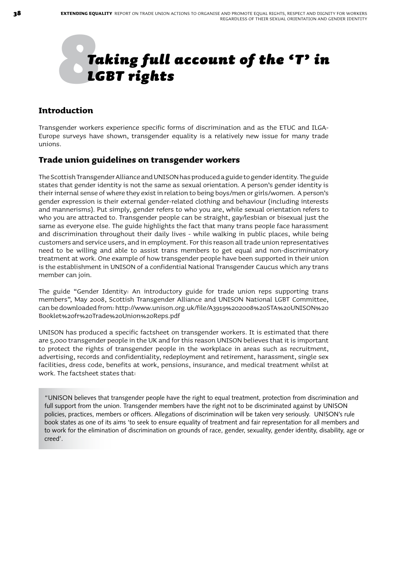

#### **Introduction**

Transgender workers experience specific forms of discrimination and as the ETUC and ILGA-Europe surveys have shown, transgender equality is a relatively new issue for many trade unions.

#### **Trade union guidelines on transgender workers**

The Scottish Transgender Alliance and UNISON has produced a guide to gender identity. The guide states that gender identity is not the same as sexual orientation. A person's gender identity is their internal sense of where they exist in relation to being boys/men or girls/women. A person's gender expression is their external gender-related clothing and behaviour (including interests and mannerisms). Put simply, gender refers to who you are, while sexual orientation refers to who you are attracted to. Transgender people can be straight, gay/lesbian or bisexual just the same as everyone else. The guide highlights the fact that many trans people face harassment and discrimination throughout their daily lives - while walking in public places, while being customers and service users, and in employment. For this reason all trade union representatives need to be willing and able to assist trans members to get equal and non-discriminatory treatment at work. One example of how transgender people have been supported in their union is the establishment in UNISON of a confidential National Transgender Caucus which any trans member can join.

The guide "Gender Identity: An introductory guide for trade union reps supporting trans members", May 2008, Scottish Transgender Alliance and UNISON National LGBT Committee, can be downloaded from: http://www.unison.org.uk/file/A3919%202008%20STA%20UNISON%20 Booklet%20fr%20Trade%20Union%20Reps.pdf

UNISON has produced a specific factsheet on transgender workers. It is estimated that there are 5,000 transgender people in the UK and for this reason UNISON believes that it is important to protect the rights of transgender people in the workplace in areas such as recruitment, advertising, records and confidentiality, redeployment and retirement, harassment, single sex facilities, dress code, benefits at work, pensions, insurance, and medical treatment whilst at work. The factsheet states that:

<sup>&</sup>quot;UNISON believes that transgender people have the right to equal treatment, protection from discrimination and full support from the union. Transgender members have the right not to be discriminated against by UNISON policies, practices, members or officers. Allegations of discrimination will be taken very seriously. UNISON's rule book states as one of its aims 'to seek to ensure equality of treatment and fair representation for all members and to work for the elimination of discrimination on grounds of race, gender, sexuality, gender identity, disability, age or creed'.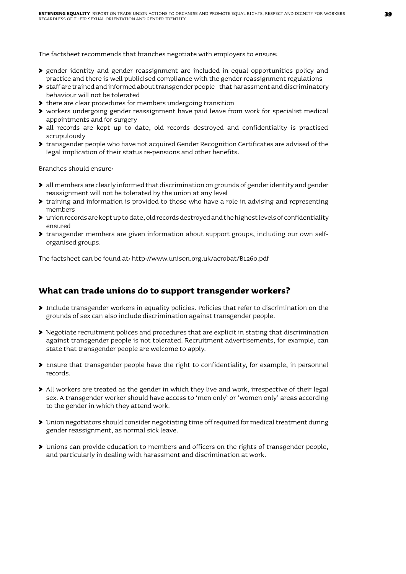The factsheet recommends that branches negotiate with employers to ensure:

- > gender identity and gender reassignment are included in equal opportunities policy and practice and there is well publicised compliance with the gender reassignment regulations
- > staff are trained and informed about transgender people that harassment and discriminatory behaviour will not be tolerated
- > there are clear procedures for members undergoing transition
- > workers undergoing gender reassignment have paid leave from work for specialist medical appointments and for surgery
- > all records are kept up to date, old records destroyed and confidentiality is practised scrupulously
- > transgender people who have not acquired Gender Recognition Certificates are advised of the legal implication of their status re-pensions and other benefits.

Branches should ensure:

- > all members are clearly informed that discrimination on grounds of gender identity and gender reassignment will not be tolerated by the union at any level
- > training and information is provided to those who have a role in advising and representing members
- > union records are kept up to date, old records destroyed and the highest levels of confidentiality ensured
- > transgender members are given information about support groups, including our own selforganised groups.

The factsheet can be found at: http://www.unison.org.uk/acrobat/B1260.pdf

#### **What can trade unions do to support transgender workers?**

- > Include transgender workers in equality policies. Policies that refer to discrimination on the grounds of sex can also include discrimination against transgender people.
- > Negotiate recruitment polices and procedures that are explicit in stating that discrimination against transgender people is not tolerated. Recruitment advertisements, for example, can state that transgender people are welcome to apply.
- > Ensure that transgender people have the right to confidentiality, for example, in personnel records.
- > All workers are treated as the gender in which they live and work, irrespective of their legal sex. A transgender worker should have access to 'men only' or 'women only' areas according to the gender in which they attend work.
- > Union negotiators should consider negotiating time off required for medical treatment during gender reassignment, as normal sick leave.
- > Unions can provide education to members and officers on the rights of transgender people, and particularly in dealing with harassment and discrimination at work.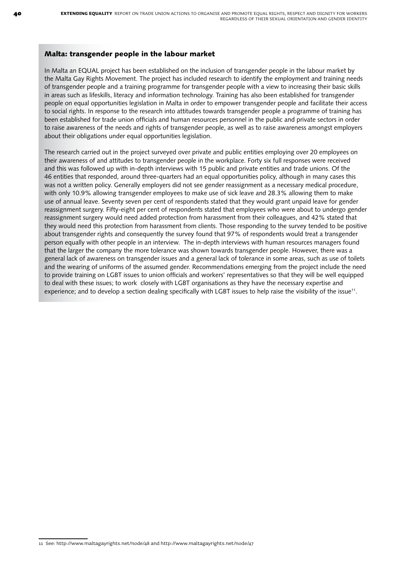#### Malta: transgender people in the labour market

In Malta an EQUAL project has been established on the inclusion of transgender people in the labour market by the Malta Gay Rights Movement. The project has included research to identify the employment and training needs of transgender people and a training programme for transgender people with a view to increasing their basic skills in areas such as lifeskills, literacy and information technology. Training has also been established for transgender people on equal opportunities legislation in Malta in order to empower transgender people and facilitate their access to social rights. In response to the research into attitudes towards transgender people a programme of training has been established for trade union officials and human resources personnel in the public and private sectors in order to raise awareness of the needs and rights of transgender people, as well as to raise awareness amongst employers about their obligations under equal opportunities legislation.

The research carried out in the project surveyed over private and public entities employing over 20 employees on their awareness of and attitudes to transgender people in the workplace. Forty six full responses were received and this was followed up with in-depth interviews with 15 public and private entities and trade unions. Of the 46 entities that responded, around three-quarters had an equal opportunities policy, although in many cases this was not a written policy. Generally employers did not see gender reassignment as a necessary medical procedure, with only 10.9% allowing transgender employees to make use of sick leave and 28.3% allowing them to make use of annual leave. Seventy seven per cent of respondents stated that they would grant unpaid leave for gender reassignment surgery. Fifty-eight per cent of respondents stated that employees who were about to undergo gender reassignment surgery would need added protection from harassment from their colleagues, and 42% stated that they would need this protection from harassment from clients. Those responding to the survey tended to be positive about transgender rights and consequently the survey found that 97% of respondents would treat a transgender person equally with other people in an interview. The in-depth interviews with human resources managers found that the larger the company the more tolerance was shown towards transgender people. However, there was a general lack of awareness on transgender issues and a general lack of tolerance in some areas, such as use of toilets and the wearing of uniforms of the assumed gender. Recommendations emerging from the project include the need to provide training on LGBT issues to union officials and workers' representatives so that they will be well equipped to deal with these issues; to work closely with LGBT organisations as they have the necessary expertise and experience; and to develop a section dealing specifically with LGBT issues to help raise the visibility of the issue<sup>11</sup>.

<sup>11</sup> See: http://www.maltagayrights.net/node/48 and http://www.maltagayrights.net/node/47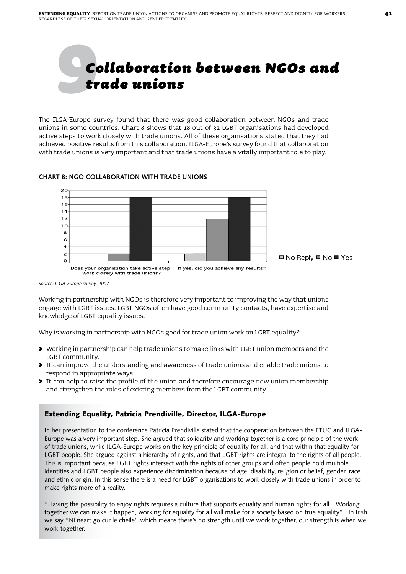## 9*Collaboration between NGOs and trade unions*

The ILGA-Europe survey found that there was good collaboration between NGOs and trade unions in some countries. Chart 8 shows that 18 out of 32 LGBT organisations had developed active steps to work closely with trade unions. All of these organisations stated that they had achieved positive results from this collaboration. ILGA-Europe's survey found that collaboration with trade unions is very important and that trade unions have a vitally important role to play.

#### **Chart 8: NGO collaboration with trade unions**



*Source: ILGA-Europe survey, 2007*

Working in partnership with NGOs is therefore very important to improving the way that unions engage with LGBT issues. LGBT NGOs often have good community contacts, have expertise and knowledge of LGBT equality issues.

Why is working in partnership with NGOs good for trade union work on LGBT equality?

- > Working in partnership can help trade unions to make links with LGBT union members and the LGBT community.
- > It can improve the understanding and awareness of trade unions and enable trade unions to respond in appropriate ways.
- > It can help to raise the profile of the union and therefore encourage new union membership and strengthen the roles of existing members from the LGBT community.

#### Extending Equality, Patricia Prendiville, Director, ILGA-Europe

In her presentation to the conference Patricia Prendiville stated that the cooperation between the ETUC and ILGA-Europe was a very important step. She argued that solidarity and working together is a core principle of the work of trade unions, while ILGA-Europe works on the key principle of equality for all, and that within that equality for LGBT people. She argued against a hierarchy of rights, and that LGBT rights are integral to the rights of all people. This is important because LGBT rights intersect with the rights of other groups and often people hold multiple identities and LGBT people also experience discrimination because of age, disability, religion or belief, gender, race and ethnic origin. In this sense there is a need for LGBT organisations to work closely with trade unions in order to make rights more of a reality.

"Having the possibility to enjoy rights requires a culture that supports equality and human rights for all…Working together we can make it happen, working for equality for all will make for a society based on true equality". In Irish we say "Ni neart go cur le cheile" which means there's no strength until we work together, our strength is when we work together.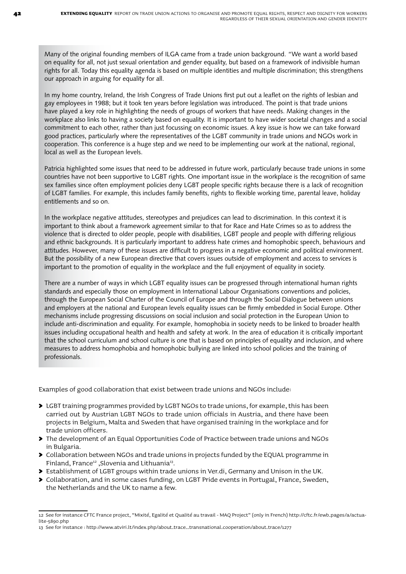Many of the original founding members of ILGA came from a trade union background. "We want a world based on equality for all, not just sexual orientation and gender equality, but based on a framework of indivisible human rights for all. Today this equality agenda is based on multiple identities and multiple discrimination; this strengthens our approach in arguing for equality for all.

In my home country, Ireland, the Irish Congress of Trade Unions first put out a leaflet on the rights of lesbian and gay employees in 1988; but it took ten years before legislation was introduced. The point is that trade unions have played a key role in highlighting the needs of groups of workers that have needs. Making changes in the workplace also links to having a society based on equality. It is important to have wider societal changes and a social commitment to each other, rather than just focussing on economic issues. A key issue is how we can take forward good practices, particularly where the representatives of the LGBT community in trade unions and NGOs work in cooperation. This conference is a huge step and we need to be implementing our work at the national, regional, local as well as the European levels.

Patricia highlighted some issues that need to be addressed in future work, particularly because trade unions in some countries have not been supportive to LGBT rights. One important issue in the workplace is the recognition of same sex families since often employment policies deny LGBT people specific rights because there is a lack of recognition of LGBT families. For example, this includes family benefits, rights to flexible working time, parental leave, holiday entitlements and so on.

In the workplace negative attitudes, stereotypes and prejudices can lead to discrimination. In this context it is important to think about a framework agreement similar to that for Race and Hate Crimes so as to address the violence that is directed to older people, people with disabilities, LGBT people and people with differing religious and ethnic backgrounds. It is particularly important to address hate crimes and homophobic speech, behaviours and attitudes. However, many of these issues are difficult to progress in a negative economic and political environment. But the possibility of a new European directive that covers issues outside of employment and access to services is important to the promotion of equality in the workplace and the full enjoyment of equality in society.

There are a number of ways in which LGBT equality issues can be progressed through international human rights standards and especially those on employment in International Labour Organisations conventions and policies, through the European Social Charter of the Council of Europe and through the Social Dialogue between unions and employers at the national and European levels equality issues can be firmly embedded in Social Europe. Other mechanisms include progressing discussions on social inclusion and social protection in the European Union to include anti-discrimination and equality. For example, homophobia in society needs to be linked to broader health issues including occupational health and health and safety at work. In the area of education it is critically important that the school curriculum and school culture is one that is based on principles of equality and inclusion, and where measures to address homophobia and homophobic bullying are linked into school policies and the training of professionals.

Examples of good collaboration that exist between trade unions and NGOs include:

- > LGBT training programmes provided by LGBT NGOs to trade unions, for example, this has been carried out by Austrian LGBT NGOs to trade union officials in Austria, and there have been projects in Belgium, Malta and Sweden that have organised training in the workplace and for trade union officers.
- > The development of an Equal Opportunities Code of Practice between trade unions and NGOs in Bulgaria.
- > Collaboration between NGOs and trade unions in projects funded by the EQUAL programme in Finland, France<sup>12</sup>, Slovenia and Lithuania<sup>13</sup>.
- > Establishment of LGBT groups within trade unions in Ver.di, Germany and Unison in the UK.
- > Collaboration, and in some cases funding, on LGBT Pride events in Portugal, France, Sweden, the Netherlands and the UK to name a few.

<sup>12</sup> See for instance CFTC France project, "Mixité, Egalité et Qualité au travail - MAQ Project" (only in French) http://cftc.fr/ewb\_pages/a/actua $life-5890$ .php

<sup>13</sup> See for instance : http://www.atviri.lt/index.php/about\_trace\_\_transnational\_cooperation/about\_trace/1277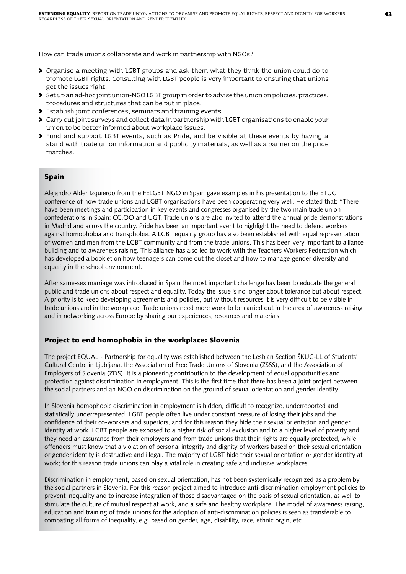How can trade unions collaborate and work in partnership with NGOs?

- > Organise a meeting with LGBT groups and ask them what they think the union could do to promote LGBT rights. Consulting with LGBT people is very important to ensuring that unions get the issues right.
- > Set up an ad-hoc joint union-NGO LGBT group in order to advise the union on policies, practices, procedures and structures that can be put in place.
- > Establish joint conferences, seminars and training events.
- > Carry out joint surveys and collect data in partnership with LGBT organisations to enable your union to be better informed about workplace issues.
- > Fund and support LGBT events, such as Pride, and be visible at these events by having a stand with trade union information and publicity materials, as well as a banner on the pride marches.

#### Spain

Alejandro Alder Izquierdo from the FELGBT NGO in Spain gave examples in his presentation to the ETUC conference of how trade unions and LGBT organisations have been cooperating very well. He stated that: "There have been meetings and participation in key events and congresses organised by the two main trade union confederations in Spain: CC.OO and UGT. Trade unions are also invited to attend the annual pride demonstrations in Madrid and across the country. Pride has been an important event to highlight the need to defend workers against homophobia and transphobia. A LGBT equality group has also been established with equal representation of women and men from the LGBT community and from the trade unions. This has been very important to alliance building and to awareness raising. This alliance has also led to work with the Teachers Workers Federation which has developed a booklet on how teenagers can come out the closet and how to manage gender diversity and equality in the school environment.

After same-sex marriage was introduced in Spain the most important challenge has been to educate the general public and trade unions about respect and equality. Today the issue is no longer about tolerance but about respect. A priority is to keep developing agreements and policies, but without resources it is very difficult to be visible in trade unions and in the workplace. Trade unions need more work to be carried out in the area of awareness raising and in networking across Europe by sharing our experiences, resources and materials.

#### Project to end homophobia in the workplace: Slovenia

The project EQUAL - Partnership for equality was established between the Lesbian Section ŠKUC-LL of Students' Cultural Centre in Ljubljana, the Association of Free Trade Unions of Slovenia (ZSSS), and the Association of Employers of Slovenia (ZDS). It is a pioneering contribution to the development of equal opportunities and protection against discrimination in employment. This is the first time that there has been a joint project between the social partners and an NGO on discrimination on the ground of sexual orientation and gender identity.

In Slovenia homophobic discrimination in employment is hidden, difficult to recognize, underreported and statistically underrepresented. LGBT people often live under constant pressure of losing their jobs and the confidence of their co-workers and superiors, and for this reason they hide their sexual orientation and gender identity at work. LGBT people are exposed to a higher risk of social exclusion and to a higher level of poverty and they need an assurance from their employers and from trade unions that their rights are equally protected, while offenders must know that a violation of personal integrity and dignity of workers based on their sexual orientation or gender identity is destructive and illegal. The majority of LGBT hide their sexual orientation or gender identity at work; for this reason trade unions can play a vital role in creating safe and inclusive workplaces.

Discrimination in employment, based on sexual orientation, has not been systemically recognized as a problem by the social partners in Slovenia. For this reason project aimed to introduce anti-discrimination employment policies to prevent inequality and to increase integration of those disadvantaged on the basis of sexual orientation, as well to stimulate the culture of mutual respect at work, and a safe and healthy workplace. The model of awareness raising, education and training of trade unions for the adoption of anti-discrimination policies is seen as transferable to combating all forms of inequality, e.g. based on gender, age, disability, race, ethnic orgin, etc.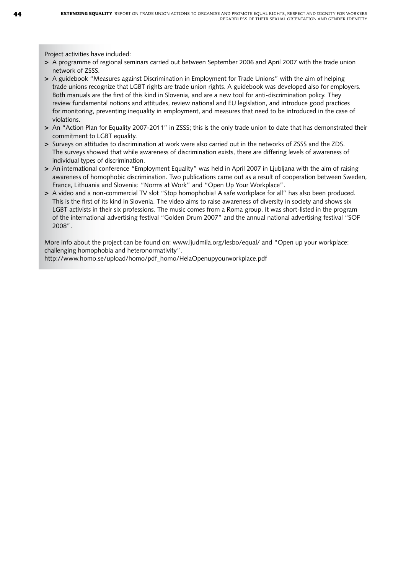Project activities have included:

- **>** A programme of regional seminars carried out between September 2006 and April 2007 with the trade union network of ZSSS.
- **>** A guidebook "Measures against Discrimination in Employment for Trade Unions" with the aim of helping trade unions recognize that LGBT rights are trade union rights. A guidebook was developed also for employers. Both manuals are the first of this kind in Slovenia, and are a new tool for anti-discrimination policy. They review fundamental notions and attitudes, review national and EU legislation, and introduce good practices for monitoring, preventing inequality in employment, and measures that need to be introduced in the case of violations.
- **>** An "Action Plan for Equality 2007-2011" in ZSSS; this is the only trade union to date that has demonstrated their commitment to LGBT equality.
- **>** Surveys on attitudes to discrimination at work were also carried out in the networks of ZSSS and the ZDS. The surveys showed that while awareness of discrimination exists, there are differing levels of awareness of individual types of discrimination.
- **>** An international conference "Employment Equality" was held in April 2007 in Ljubljana with the aim of raising awareness of homophobic discrimination. Two publications came out as a result of cooperation between Sweden, France, Lithuania and Slovenia: "Norms at Work" and "Open Up Your Workplace".
- **>** A video and a non-commercial TV slot "Stop homophobia! A safe workplace for all" has also been produced. This is the first of its kind in Slovenia. The video aims to raise awareness of diversity in society and shows six LGBT activists in their six professions. The music comes from a Roma group. It was short-listed in the program of the international advertising festival "Golden Drum 2007" and the annual national advertising festival "SOF 2008".

More info about the project can be found on: www.ljudmila.org/lesbo/equal/ and "Open up your workplace: challenging homophobia and heteronormativity".

http://www.homo.se/upload/homo/pdf\_homo/HelaOpenupyourworkplace.pdf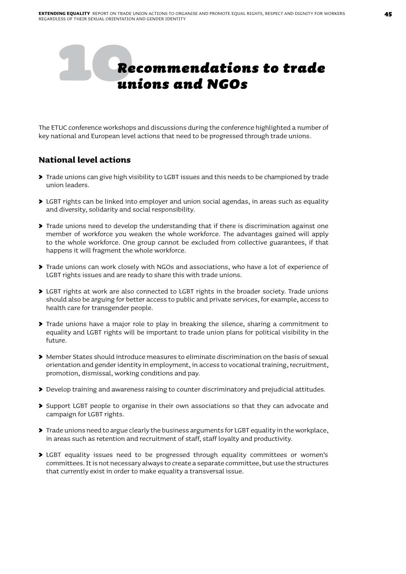## 10*Recommendations to trade unions and NGOs*

The ETUC conference workshops and discussions during the conference highlighted a number of key national and European level actions that need to be progressed through trade unions.

#### **National level actions**

- > Trade unions can give high visibility to LGBT issues and this needs to be championed by trade union leaders.
- > LGBT rights can be linked into employer and union social agendas, in areas such as equality and diversity, solidarity and social responsibility.
- > Trade unions need to develop the understanding that if there is discrimination against one member of workforce you weaken the whole workforce. The advantages gained will apply to the whole workforce. One group cannot be excluded from collective guarantees, if that happens it will fragment the whole workforce.
- > Trade unions can work closely with NGOs and associations, who have a lot of experience of LGBT rights issues and are ready to share this with trade unions.
- > LGBT rights at work are also connected to LGBT rights in the broader society. Trade unions should also be arguing for better access to public and private services, for example, access to health care for transgender people.
- > Trade unions have a major role to play in breaking the silence, sharing a commitment to equality and LGBT rights will be important to trade union plans for political visibility in the future.
- > Member States should introduce measures to eliminate discrimination on the basis of sexual orientation and gender identity in employment, in access to vocational training, recruitment, promotion, dismissal, working conditions and pay.
- > Develop training and awareness raising to counter discriminatory and prejudicial attitudes.
- > Support LGBT people to organise in their own associations so that they can advocate and campaign for LGBT rights.
- > Trade unions need to argue clearly the business arguments for LGBT equality in the workplace, in areas such as retention and recruitment of staff, staff loyalty and productivity.
- > LGBT equality issues need to be progressed through equality committees or women's committees. It is not necessary always to create a separate committee, but use the structures that currently exist in order to make equality a transversal issue.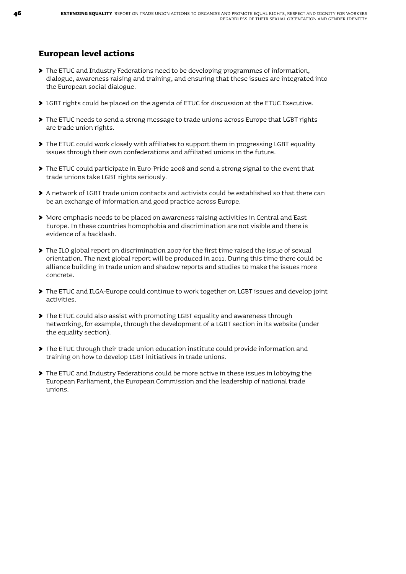#### **European level actions**

- > The ETUC and Industry Federations need to be developing programmes of information, dialogue, awareness raising and training, and ensuring that these issues are integrated into the European social dialogue.
- > LGBT rights could be placed on the agenda of ETUC for discussion at the ETUC Executive.
- > The ETUC needs to send a strong message to trade unions across Europe that LGBT rights are trade union rights.
- > The ETUC could work closely with affiliates to support them in progressing LGBT equality issues through their own confederations and affiliated unions in the future.
- > The ETUC could participate in Euro-Pride 2008 and send a strong signal to the event that trade unions take LGBT rights seriously.
- > A network of LGBT trade union contacts and activists could be established so that there can be an exchange of information and good practice across Europe.
- > More emphasis needs to be placed on awareness raising activities in Central and East Europe. In these countries homophobia and discrimination are not visible and there is evidence of a backlash.
- > The ILO global report on discrimination 2007 for the first time raised the issue of sexual orientation. The next global report will be produced in 2011. During this time there could be alliance building in trade union and shadow reports and studies to make the issues more concrete.
- > The ETUC and ILGA-Europe could continue to work together on LGBT issues and develop joint activities.
- > The ETUC could also assist with promoting LGBT equality and awareness through networking, for example, through the development of a LGBT section in its website (under the equality section).
- > The ETUC through their trade union education institute could provide information and training on how to develop LGBT initiatives in trade unions.
- > The ETUC and Industry Federations could be more active in these issues in lobbying the European Parliament, the European Commission and the leadership of national trade unions.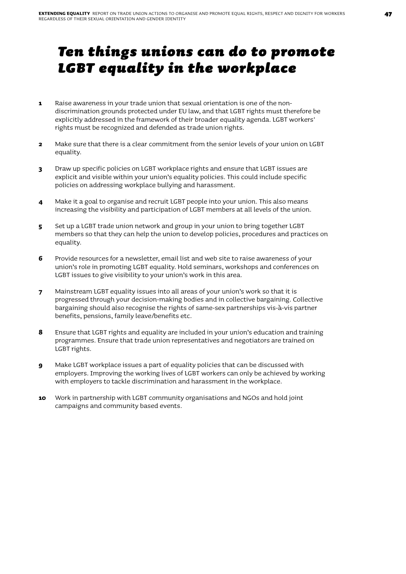## *Ten things unions can do to promote LGBT equality in the workplace*

- **1** Raise awareness in your trade union that sexual orientation is one of the nondiscrimination grounds protected under EU law, and that LGBT rights must therefore be explicitly addressed in the framework of their broader equality agenda. LGBT workers' rights must be recognized and defended as trade union rights.
- **2** Make sure that there is a clear commitment from the senior levels of your union on LGBT equality.
- **3** Draw up specific policies on LGBT workplace rights and ensure that LGBT issues are explicit and visible within your union's equality policies. This could include specific policies on addressing workplace bullying and harassment.
- **4** Make it a goal to organise and recruit LGBT people into your union. This also means increasing the visibility and participation of LGBT members at all levels of the union.
- **5** Set up a LGBT trade union network and group in your union to bring together LGBT members so that they can help the union to develop policies, procedures and practices on equality.
- **6** Provide resources for a newsletter, email list and web site to raise awareness of your union's role in promoting LGBT equality. Hold seminars, workshops and conferences on LGBT issues to give visibility to your union's work in this area.
- **7** Mainstream LGBT equality issues into all areas of your union's work so that it is progressed through your decision-making bodies and in collective bargaining. Collective bargaining should also recognise the rights of same-sex partnerships vis-à-vis partner benefits, pensions, family leave/benefits etc.
- **8** Ensure that LGBT rights and equality are included in your union's education and training programmes. Ensure that trade union representatives and negotiators are trained on LGBT rights.
- **9** Make LGBT workplace issues a part of equality policies that can be discussed with employers. Improving the working lives of LGBT workers can only be achieved by working with employers to tackle discrimination and harassment in the workplace.
- **10** Work in partnership with LGBT community organisations and NGOs and hold joint campaigns and community based events.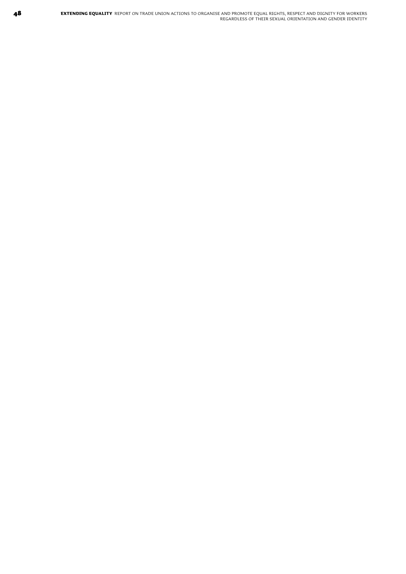**48 extending equality** report on trade union actions to organise and promote equal rights, respect and dignity for workers<br>REGARDLESS OF THEIR SEXUAL ORIENTATION AND GENDER IDENTITY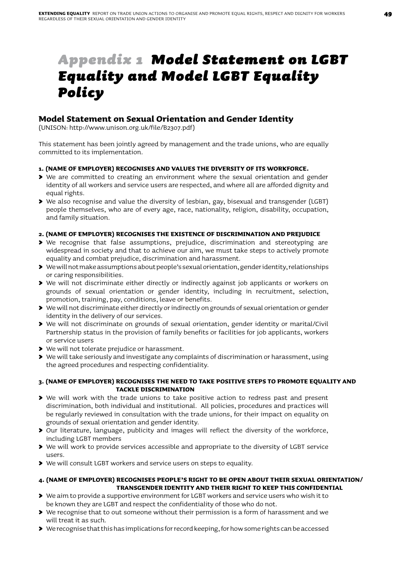## *Appendix 1 Model Statement on LGBT Equality and Model LGBT Equality Policy*

#### **Model Statement on Sexual Orientation and Gender Identity**

(UNISON: http://www.unison.org.uk/file/B2307.pdf)

This statement has been jointly agreed by management and the trade unions, who are equally committed to its implementation.

#### **1. (Name of employer) recognises and values the diversity of its workforce.**

- > We are committed to creating an environment where the sexual orientation and gender identity of all workers and service users are respected, and where all are afforded dignity and equal rights.
- > We also recognise and value the diversity of lesbian, gay, bisexual and transgender (LGBT) people themselves, who are of every age, race, nationality, religion, disability, occupation, and family situation.

#### **2. (Name of employer) recognises the existence of discrimination and prejudice**

- > We recognise that false assumptions, prejudice, discrimination and stereotyping are widespread in society and that to achieve our aim, we must take steps to actively promote equality and combat prejudice, discrimination and harassment.
- > We will not make assumptions about people's sexual orientation, gender identity, relationships or caring responsibilities.
- > We will not discriminate either directly or indirectly against job applicants or workers on grounds of sexual orientation or gender identity, including in recruitment, selection, promotion, training, pay, conditions, leave or benefits.
- > We will not discriminate either directly or indirectly on grounds of sexual orientation or gender identity in the delivery of our services.
- > We will not discriminate on grounds of sexual orientation, gender identity or marital/Civil Partnership status in the provision of family benefits or facilities for job applicants, workers or service users
- > We will not tolerate prejudice or harassment.
- > We will take seriously and investigate any complaints of discrimination or harassment, using the agreed procedures and respecting confidentiality.

#### **3. (Name of employer) recognises the need to take positive steps to promote equality and tackle discrimination**

- > We will work with the trade unions to take positive action to redress past and present discrimination, both individual and institutional. All policies, procedures and practices will be regularly reviewed in consultation with the trade unions, for their impact on equality on grounds of sexual orientation and gender identity.
- > Our literature, language, publicity and images will reflect the diversity of the workforce, including LGBT members
- > We will work to provide services accessible and appropriate to the diversity of LGBT service users.
- > We will consult LGBT workers and service users on steps to equality.

#### **4. (Name of employer) recognises people's right to be open about their sexual orientation/ transgender identity and their right to keep this confidential**

- > We aim to provide a supportive environment for LGBT workers and service users who wish it to be known they are LGBT and respect the confidentiality of those who do not.
- > We recognise that to out someone without their permission is a form of harassment and we will treat it as such.
- > We recognise that this has implications for record keeping, for how some rights can be accessed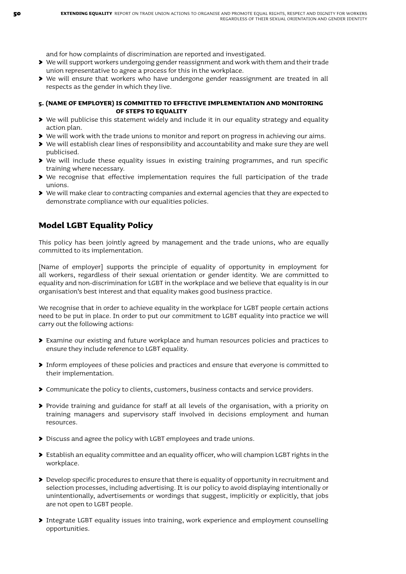and for how complaints of discrimination are reported and investigated.

- > We will support workers undergoing gender reassignment and work with them and their trade union representative to agree a process for this in the workplace.
- > We will ensure that workers who have undergone gender reassignment are treated in all respects as the gender in which they live.
- **5. (Name of employer) is committed to effective implementation and monitoring of steps to equality**
- > We will publicise this statement widely and include it in our equality strategy and equality action plan.
- > We will work with the trade unions to monitor and report on progress in achieving our aims.
- > We will establish clear lines of responsibility and accountability and make sure they are well publicised.
- > We will include these equality issues in existing training programmes, and run specific training where necessary.
- > We recognise that effective implementation requires the full participation of the trade unions.
- > We will make clear to contracting companies and external agencies that they are expected to demonstrate compliance with our equalities policies.

#### **Model LGBT Equality Policy**

This policy has been jointly agreed by management and the trade unions, who are equally committed to its implementation.

[Name of employer] supports the principle of equality of opportunity in employment for all workers, regardless of their sexual orientation or gender identity. We are committed to equality and non-discrimination for LGBT in the workplace and we believe that equality is in our organisation's best interest and that equality makes good business practice.

We recognise that in order to achieve equality in the workplace for LGBT people certain actions need to be put in place. In order to put our commitment to LGBT equality into practice we will carry out the following actions:

- > Examine our existing and future workplace and human resources policies and practices to ensure they include reference to LGBT equality.
- > Inform employees of these policies and practices and ensure that everyone is committed to their implementation.
- > Communicate the policy to clients, customers, business contacts and service providers.
- > Provide training and guidance for staff at all levels of the organisation, with a priority on training managers and supervisory staff involved in decisions employment and human resources.
- > Discuss and agree the policy with LGBT employees and trade unions.
- > Establish an equality committee and an equality officer, who will champion LGBT rights in the workplace.
- > Develop specific procedures to ensure that there is equality of opportunity in recruitment and selection processes, including advertising. It is our policy to avoid displaying intentionally or unintentionally, advertisements or wordings that suggest, implicitly or explicitly, that jobs are not open to LGBT people.
- > Integrate LGBT equality issues into training, work experience and employment counselling opportunities.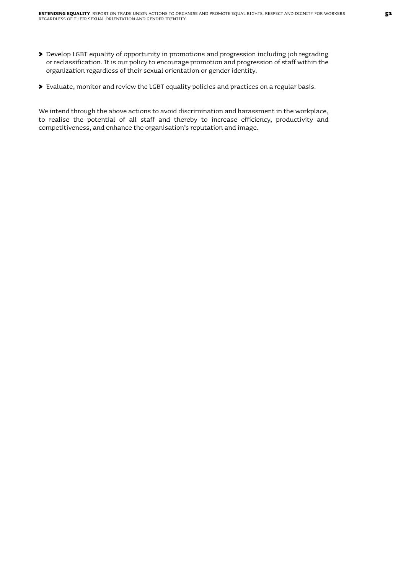- > Develop LGBT equality of opportunity in promotions and progression including job regrading or reclassification. It is our policy to encourage promotion and progression of staff within the organization regardless of their sexual orientation or gender identity.
- > Evaluate, monitor and review the LGBT equality policies and practices on a regular basis.

We intend through the above actions to avoid discrimination and harassment in the workplace, to realise the potential of all staff and thereby to increase efficiency, productivity and competitiveness, and enhance the organisation's reputation and image.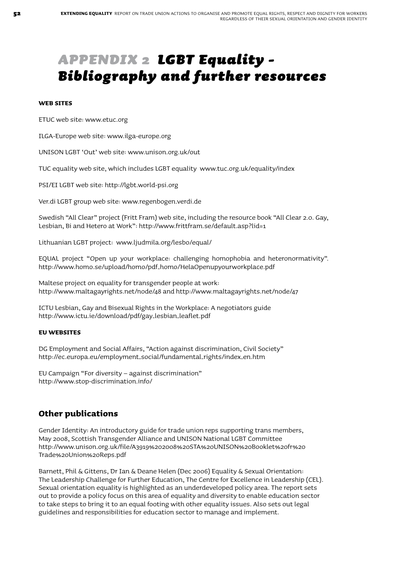## *APPENDIX 2 LGBT Equality - Bibliography and further resources*

#### **Web sites**

ETUC web site: www.etuc.org

ILGA-Europe web site: www.ilga-europe.org

UNISON LGBT 'Out' web site: www.unison.org.uk/out

TUC equality web site, which includes LGBT equality www.tuc.org.uk/equality/index

PSI/EI LGBT web site: http://lgbt.world-psi.org

Ver.di LGBT group web site: www.regenbogen.verdi.de

Swedish "All Clear" project (Fritt Fram) web site, including the resource book "All Clear 2.0. Gay, Lesbian, Bi and Hetero at Work": http://www.frittfram.se/default.asp?lid=1

Lithuanian LGBT project: www.ljudmila.org/lesbo/equal/

EQUAL project "Open up your workplace: challenging homophobia and heteronormativity". http://www.homo.se/upload/homo/pdf\_homo/HelaOpenupyourworkplace.pdf

Maltese project on equality for transgender people at work: http://www.maltagayrights.net/node/48 and http://www.maltagayrights.net/node/47

ICTU Lesbian, Gay and Bisexual Rights in the Workplace: A negotiators guide http://www.ictu.ie/download/pdf/gay\_lesbian\_leaflet.pdf

#### **EU websites**

DG Employment and Social Affairs, "Action against discrimination, Civil Society" http://ec.europa.eu/employment\_social/fundamental\_rights/index\_en.htm

EU Campaign "For diversity – against discrimination" http://www.stop-discrimination.info/

#### **Other publications**

Gender Identity: An introductory guide for trade union reps supporting trans members, May 2008, Scottish Transgender Alliance and UNISON National LGBT Committee http://www.unison.org.uk/file/A3919%202008%20STA%20UNISON%20Booklet%20fr%20 Trade%20Union%20Reps.pdf

Barnett, Phil & Gittens, Dr Ian & Deane Helen (Dec 2006) Equality & Sexual Orientation: The Leadership Challenge for Further Education, The Centre for Excellence in Leadership (CEL). Sexual orientation equality is highlighted as an underdeveloped policy area. The report sets out to provide a policy focus on this area of equality and diversity to enable education sector to take steps to bring it to an equal footing with other equality issues. Also sets out legal guidelines and responsibilities for education sector to manage and implement.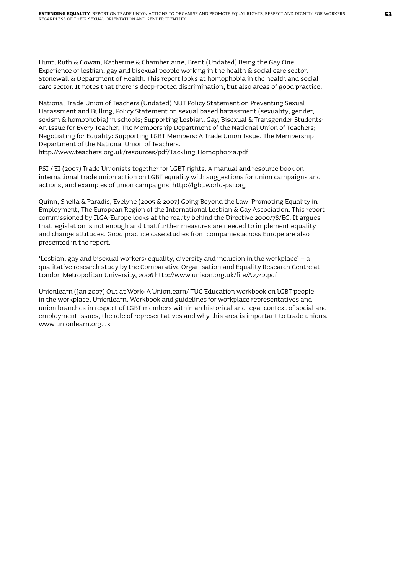Hunt, Ruth & Cowan, Katherine & Chamberlaine, Brent (Undated) Being the Gay One: Experience of lesbian, gay and bisexual people working in the health & social care sector, Stonewall & Department of Health. This report looks at homophobia in the health and social care sector. It notes that there is deep-rooted discrimination, but also areas of good practice.

National Trade Union of Teachers (Undated) NUT Policy Statement on Preventing Sexual Harassment and Bulling; Policy Statement on sexual based harassment (sexuality, gender, sexism & homophobia) in schools; Supporting Lesbian, Gay, Bisexual & Transgender Students: An Issue for Every Teacher, The Membership Department of the National Union of Teachers; Negotiating for Equality: Supporting LGBT Members: A Trade Union Issue, The Membership Department of the National Union of Teachers.

http://www.teachers.org.uk/resources/pdf/Tackling\_Homophobia.pdf

PSI / EI (2007) Trade Unionists together for LGBT rights. A manual and resource book on international trade union action on LGBT equality with suggestions for union campaigns and actions, and examples of union campaigns. http://lgbt.world-psi.org

Quinn, Sheila & Paradis, Evelyne (2005 & 2007) Going Beyond the Law: Promoting Equality in Employment, The European Region of the International Lesbian & Gay Association. This report commissioned by ILGA-Europe looks at the reality behind the Directive 2000/78/EC. It argues that legislation is not enough and that further measures are needed to implement equality and change attitudes. Good practice case studies from companies across Europe are also presented in the report.

'Lesbian, gay and bisexual workers: equality, diversity and inclusion in the workplace' – a qualitative research study by the Comparative Organisation and Equality Research Centre at London Metropolitan University, 2006 http://www.unison.org.uk/file/A2742.pdf

Unionlearn (Jan 2007) Out at Work: A Unionlearn/ TUC Education workbook on LGBT people in the workplace, Unionlearn. Workbook and guidelines for workplace representatives and union branches in respect of LGBT members within an historical and legal context of social and employment issues, the role of representatives and why this area is important to trade unions. www.unionlearn.org.uk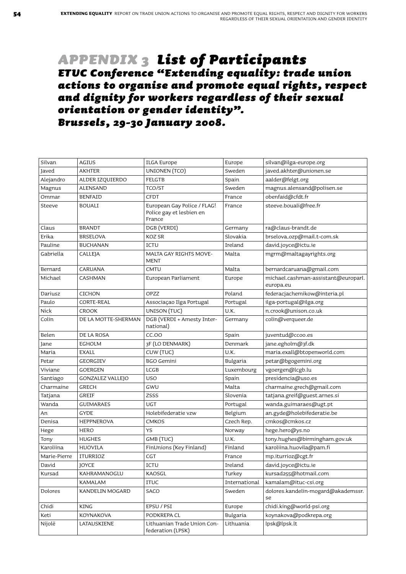#### *APPENDIX 3 List of Participants ETUC Conference "Extending equality: trade union actions to organise and promote equal rights, respect and dignity for workers regardless of their sexual orientation or gender identity". Brussels, 29-30 January 2008.*

| Silvan       | <b>AGIUS</b>        | <b>ILGA Europe</b>                                                | Europe        | silvan@ilga-europe.org                           |
|--------------|---------------------|-------------------------------------------------------------------|---------------|--------------------------------------------------|
| <b>Javed</b> | <b>AKHTER</b>       | UNIONEN (TCO)                                                     | Sweden        | javed.akhter@unionen.se                          |
| Alejandro    | ALDER IZQUIERDO     | <b>FELGTB</b>                                                     | Spain         | aalder@felgt.org                                 |
| Magnus       | <b>ALENSAND</b>     | TCO/ST                                                            | Sweden        | magnus.alensand@polisen.se                       |
| Ommar        | <b>BENFAID</b>      | <b>CFDT</b>                                                       | France        | obenfaid@cfdt.fr                                 |
| Steeve       | <b>BOUALI</b>       | European Gay Police / FLAG!<br>Police gay et lesbien en<br>France | France        | steeve.bouali@free.fr                            |
| Claus        | <b>BRANDT</b>       | DGB (VERDI)                                                       | Germany       | ra@claus-brandt.de                               |
| Erika        | <b>BRSELOVA</b>     | KOZ SR                                                            | Slovakia      | brselova_ozp@mail.t-com.sk                       |
| Pauline      | <b>BUCHANAN</b>     | <b>ICTU</b>                                                       | Ireland       | david.joyce@ictu.ie                              |
| Gabriella    | CALLEJA             | <b>MALTA GAY RIGHTS MOVE-</b><br>MENT                             | Malta         | mgrm@maltagayrights.org                          |
| Bernard      | CARUANA             | <b>CMTU</b>                                                       | Malta         | bernardcaruana@gmail.com                         |
| Michael      | CASHMAN             | European Parliament                                               | Europe        | michael.cashman-assistant@europarl.<br>europa.eu |
| Dariusz      | <b>CICHON</b>       | OPZZ                                                              | Poland        | federacjachemikow@interia.pl                     |
| Paulo        | <b>CORTE-REAL</b>   | Associaçao Ilga Portugal                                          | Portugal      | ilga-portugal@ilga.org                           |
| Nick         | <b>CROOK</b>        | UNISON (TUC)                                                      | U.K.          | n.crook@unison.co.uk                             |
| Colin        | DE LA MOTTE-SHERMAN | DGB (VERDI + Amesty Inter-<br>national)                           | Germany       | colin@verqueer.de                                |
| Belen        | DE LA ROSA          | CC.00                                                             | Spain         | juventud@ccoo.es                                 |
| Jane         | <b>EGHOLM</b>       | 3F (LO DENMARK)                                                   | Denmark       | jane.egholm@3f.dk                                |
| Maria        | <b>EXALL</b>        | CUW (TUC)                                                         | U.K.          | maria.exall@btopenworld.com                      |
| Petar        | <b>GEORGIEV</b>     | <b>BGO Gemini</b>                                                 | Bulgaria      | petar@bgogemini.org                              |
| Viviane      | <b>GOERGEN</b>      | <b>LCGB</b>                                                       | Luxembourg    | vgoergen@lcgb.lu                                 |
| Santiago     | GONZALEZ VALLEJO    | USO                                                               | Spain         | presidencia@uso.es                               |
| Charmaine    | <b>GRECH</b>        | GWU                                                               | Malta         | charmaine.grech@gmail.com                        |
| Tatjana      | <b>GREIF</b>        | ZSSS                                                              | Slovenia      | tatjana.greif@guest.arnes.si                     |
| Wanda        | <b>GUIMARAES</b>    | UGT                                                               | Portugal      | wanda.guimaraes@ugt.pt                           |
| An           | <b>GYDE</b>         | Holebifederatie vzw                                               | Belgium       | an.gyde@holebifederatie.be                       |
| Denisa       | <b>HEPPNEROVA</b>   | <b>CMKOS</b>                                                      | Czech Rep.    | cmkos@cmkos.cz                                   |
| Hege         | <b>HERO</b>         | YS                                                                | Norway        | hege.hero@ys.no                                  |
| Tony         | <b>HUGHES</b>       | GMB (TUC)                                                         | U.K.          | tony.hughes@birmingham.gov.uk                    |
| Karoliina    | HUOVILA             | FinUnions (Key Finland)                                           | Finland       | karoliina.huovila@pam.fi                         |
| Marie-Pierre | <b>ITURRIOZ</b>     | CGT                                                               | France        | mp.iturrioz@cgt.fr                               |
| David        | JOYCE               | ICTU                                                              | Ireland       | david.joyce@ictu.ie                              |
| Kursad       | KAHRAMANOGLU        | KAOSGL                                                            | Turkey        | kursad255@hotmail.com                            |
|              | <b>KAMALAM</b>      | <b>ITUC</b>                                                       | International | kamalam@ituc-csi.org                             |
| Dolores      | KANDELIN MOGARD     | SACO                                                              | Sweden        | dolores.kandelin-mogard@akademssr.<br>se         |
| Chidi        | KING                | EPSU / PSI                                                        | Europe        | chidi.king@world-psi.org                         |
| Keti         | <b>KOYNAKOVA</b>    | PODKREPA CL                                                       | Bulgaria      | koynakova@podkrepa.org                           |
| Nijolë       | LATAUSKIENE         | Lithuanian Trade Union Con-<br>federation (LPSK)                  | Lithuania     | lpsk@lpsk.lt                                     |